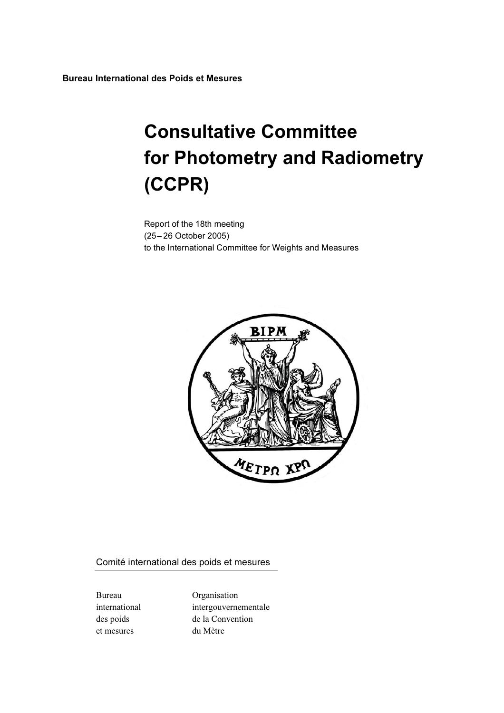Bureau International des Poids et Mesures

# Consultative Committee for Photometry and Radiometry (CCPR)

Report of the 18th meeting (25– 26 October 2005) to the International Committee for Weights and Measures



Comité international des poids et mesures

et mesures du Mètre

Bureau Organisation international intergouvernementale des poids de la Convention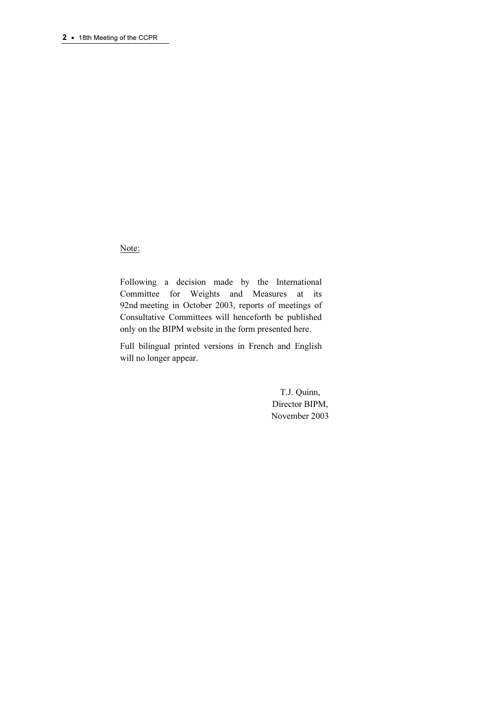Note:

Following a decision made by the International Committee for Weights and Measures at its 92nd meeting in October 2003, reports of meetings of Consultative Committees will henceforth be published only on the BIPM website in the form presented here.

Full bilingual printed versions in French and English will no longer appear.

> T.J. Quinn, Director BIPM, November 2003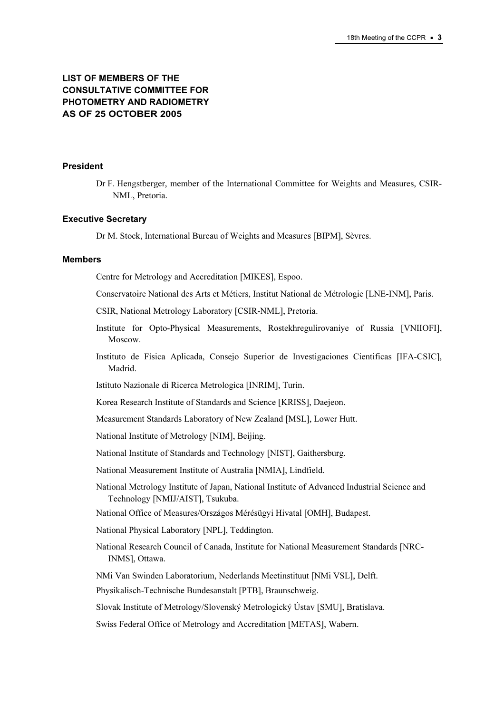# LIST OF MEMBERS OF THE CONSULTATIVE COMMITTEE FOR PHOTOMETRY AND RADIOMETRY AS OF 25 OCTOBER 2005

#### President

Dr F. Hengstberger, member of the International Committee for Weights and Measures, CSIR-NML, Pretoria.

#### Executive Secretary

Dr M. Stock, International Bureau of Weights and Measures [BIPM], Sèvres.

#### Members

Centre for Metrology and Accreditation [MIKES], Espoo.

- Conservatoire National des Arts et Métiers, Institut National de Métrologie [LNE-INM], Paris.
- CSIR, National Metrology Laboratory [CSIR-NML], Pretoria.
- Institute for Opto-Physical Measurements, Rostekhregulirovaniye of Russia [VNIIOFI], Moscow.
- Instituto de Física Aplicada, Consejo Superior de Investigaciones Cientificas [IFA-CSIC], Madrid.

Istituto Nazionale di Ricerca Metrologica [INRIM], Turin.

Korea Research Institute of Standards and Science [KRISS], Daejeon.

Measurement Standards Laboratory of New Zealand [MSL], Lower Hutt.

National Institute of Metrology [NIM], Beijing.

National Institute of Standards and Technology [NIST], Gaithersburg.

National Measurement Institute of Australia [NMIA], Lindfield.

National Metrology Institute of Japan, National Institute of Advanced Industrial Science and Technology [NMIJ/AIST], Tsukuba.

National Office of Measures/Országos Mérésügyi Hivatal [OMH], Budapest.

National Physical Laboratory [NPL], Teddington.

National Research Council of Canada, Institute for National Measurement Standards [NRC-INMS], Ottawa.

NMi Van Swinden Laboratorium, Nederlands Meetinstituut [NMi VSL], Delft.

Physikalisch-Technische Bundesanstalt [PTB], Braunschweig.

Slovak Institute of Metrology/Slovenský Metrologický Ústav [SMU], Bratislava.

Swiss Federal Office of Metrology and Accreditation [METAS], Wabern.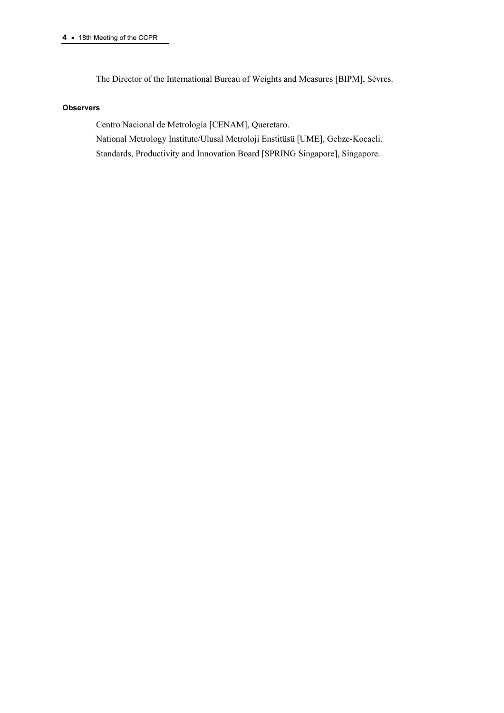The Director of the International Bureau of Weights and Measures [BIPM], Sèvres.

#### **Observers**

Centro Nacional de Metrología [CENAM], Queretaro. National Metrology Institute/Ulusal Metroloji Enstitüsü [UME], Gebze-Kocaeli. Standards, Productivity and Innovation Board [SPRING Singapore], Singapore.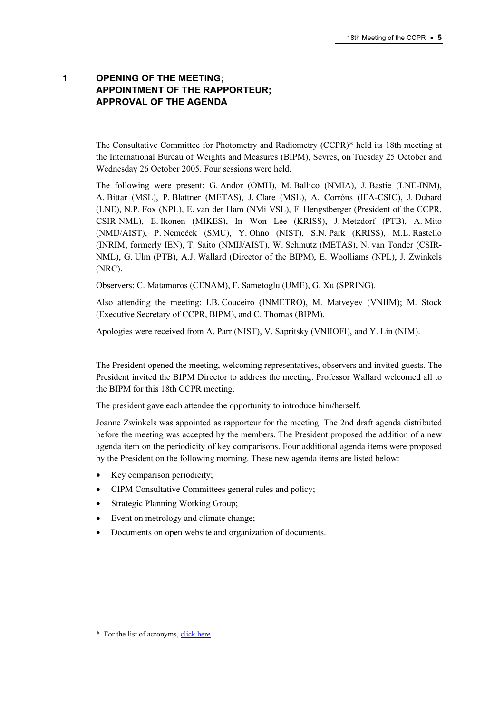# 1 OPENING OF THE MEETING; APPOINTMENT OF THE RAPPORTEUR; APPROVAL OF THE AGENDA

The Consultative Committee for Photometry and Radiometry (CCPR)\* held its 18th meeting at the International Bureau of Weights and Measures (BIPM), Sèvres, on Tuesday 25 October and Wednesday 26 October 2005. Four sessions were held.

The following were present: G. Andor (OMH), M. Ballico (NMIA), J. Bastie (LNE-INM), A. Bittar (MSL), P. Blattner (METAS), J. Clare (MSL), A. Corróns (IFA-CSIC), J. Dubard (LNE), N.P. Fox (NPL), E. van der Ham (NMi VSL), F. Hengstberger (President of the CCPR, CSIR-NML), E. Ikonen (MIKES), In Won Lee (KRISS), J. Metzdorf (PTB), A. Mito (NMIJ/AIST), P. Nemeček (SMU), Y. Ohno (NIST), S.N. Park (KRISS), M.L. Rastello (INRIM, formerly IEN), T. Saito (NMIJ/AIST), W. Schmutz (METAS), N. van Tonder (CSIR-NML), G. Ulm (PTB), A.J. Wallard (Director of the BIPM), E. Woolliams (NPL), J. Zwinkels (NRC).

Observers: C. Matamoros (CENAM), F. Sametoglu (UME), G. Xu (SPRING).

Also attending the meeting: I.B. Couceiro (INMETRO), M. Matveyev (VNIIM); M. Stock (Executive Secretary of CCPR, BIPM), and C. Thomas (BIPM).

Apologies were received from A. Parr (NIST), V. Sapritsky (VNIIOFI), and Y. Lin (NIM).

The President opened the meeting, welcoming representatives, observers and invited guests. The President invited the BIPM Director to address the meeting. Professor Wallard welcomed all to the BIPM for this 18th CCPR meeting.

The president gave each attendee the opportunity to introduce him/herself.

Joanne Zwinkels was appointed as rapporteur for the meeting. The 2nd draft agenda distributed before the meeting was accepted by the members. The President proposed the addition of a new agenda item on the periodicity of key comparisons. Four additional agenda items were proposed by the President on the following morning. These new agenda items are listed below:

- Key comparison periodicity;
- CIPM Consultative Committees general rules and policy;
- Strategic Planning Working Group;
- Event on metrology and climate change;
- Documents on open website and organization of documents.

 $\ddot{ }$ 

<sup>\*</sup> For the list of acrony[ms, click here](https://www.bipm.org/en/practical_info/acronyms.html)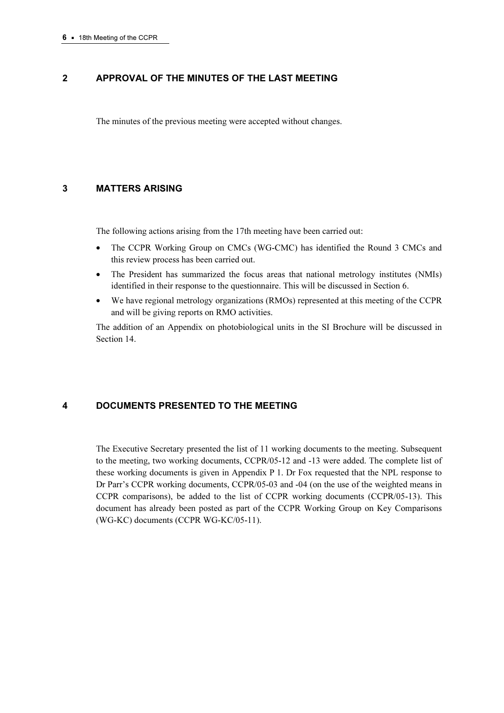# 2 APPROVAL OF THE MINUTES OF THE LAST MEETING

The minutes of the previous meeting were accepted without changes.

# 3 MATTERS ARISING

The following actions arising from the 17th meeting have been carried out:

- The CCPR Working Group on CMCs (WG-CMC) has identified the Round 3 CMCs and this review process has been carried out.
- The President has summarized the focus areas that national metrology institutes (NMIs) identified in their response to the questionnaire. This will be discussed in Section 6.
- We have regional metrology organizations (RMOs) represented at this meeting of the CCPR and will be giving reports on RMO activities.

The addition of an Appendix on photobiological units in the SI Brochure will be discussed in Section 14.

# 4 DOCUMENTS PRESENTED TO THE MEETING

The Executive Secretary presented the list of 11 working documents to the meeting. Subsequent to the meeting, two working documents, CCPR/05-12 and -13 were added. The complete list of these working documents is given in Appendix P 1. Dr Fox requested that the NPL response to Dr Parr's CCPR working documents, CCPR/05-03 and -04 (on the use of the weighted means in CCPR comparisons), be added to the list of CCPR working documents (CCPR/05-13). This document has already been posted as part of the CCPR Working Group on Key Comparisons (WG-KC) documents (CCPR WG-KC/05-11).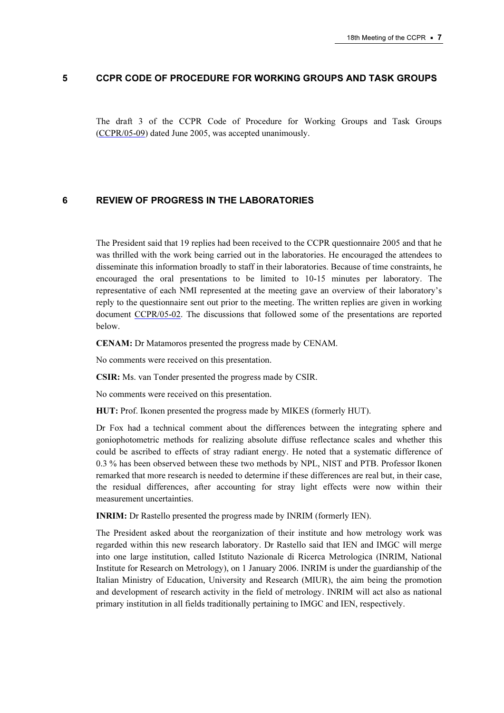#### 5 CCPR CODE OF PROCEDURE FOR WORKING GROUPS AND TASK GROUPS

The draft 3 of the CCPR Code of Procedure for Working Groups and Task Groups [\(CCPR/05-09\) dated Ju](https://www.bipm.org/cc/CCPR/Allowed/18/CCPR05-09.pdf)ne 2005, was accepted unanimously.

# 6 REVIEW OF PROGRESS IN THE LABORATORIES

The President said that 19 replies had been received to the CCPR questionnaire 2005 and that he was thrilled with the work being carried out in the laboratories. He encouraged the attendees to disseminate this information broadly to staff in their laboratories. Because of time constraints, he encouraged the oral presentations to be limited to 10-15 minutes per laboratory. The repre[sentative of each NMI rep](https://www.bipm.org/cc/CCPR/Allowed/18/CCPR05-02.pdf)resented at the meeting gave an overview of their laboratory's reply to the questionnaire sent out prior to the meeting. The written replies are given in working document CCPR/05-02. The discussions that followed some of the presentations are reported below.

CENAM: Dr Matamoros presented the progress made by CENAM.

No comments were received on this presentation.

CSIR: Ms. van Tonder presented the progress made by CSIR.

No comments were received on this presentation.

HUT: Prof. Ikonen presented the progress made by MIKES (formerly HUT).

Dr Fox had a technical comment about the differences between the integrating sphere and goniophotometric methods for realizing absolute diffuse reflectance scales and whether this could be ascribed to effects of stray radiant energy. He noted that a systematic difference of 0.3 % has been observed between these two methods by NPL, NIST and PTB. Professor Ikonen remarked that more research is needed to determine if these differences are real but, in their case, the residual differences, after accounting for stray light effects were now within their measurement uncertainties.

INRIM: Dr Rastello presented the progress made by INRIM (formerly IEN).

The President asked about the reorganization of their institute and how metrology work was regarded within this new research laboratory. Dr Rastello said that IEN and IMGC will merge into one large institution, called Istituto Nazionale di Ricerca Metrologica (INRIM, National Institute for Research on Metrology), on 1 January 2006. INRIM is under the guardianship of the Italian Ministry of Education, University and Research (MIUR), the aim being the promotion and development of research activity in the field of metrology. INRIM will act also as national primary institution in all fields traditionally pertaining to IMGC and IEN, respectively.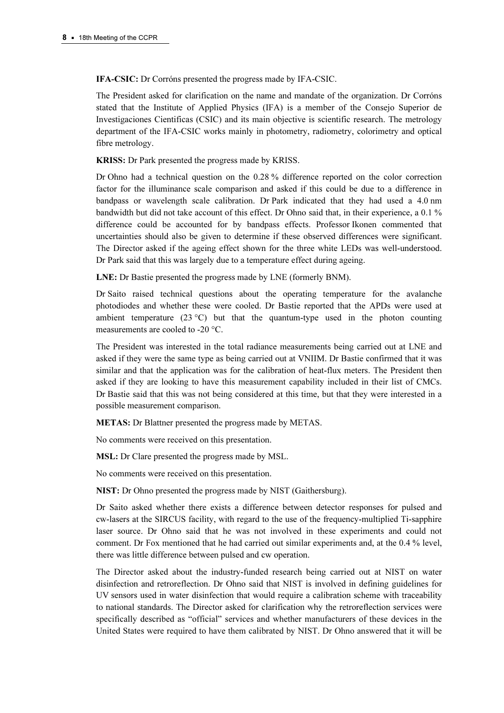IFA-CSIC: Dr Corróns presented the progress made by IFA-CSIC.

The President asked for clarification on the name and mandate of the organization. Dr Corróns stated that the Institute of Applied Physics (IFA) is a member of the Consejo Superior de Investigaciones Cientificas (CSIC) and its main objective is scientific research. The metrology department of the IFA-CSIC works mainly in photometry, radiometry, colorimetry and optical fibre metrology.

KRISS: Dr Park presented the progress made by KRISS.

Dr Ohno had a technical question on the 0.28 % difference reported on the color correction factor for the illuminance scale comparison and asked if this could be due to a difference in bandpass or wavelength scale calibration. Dr Park indicated that they had used a 4.0 nm bandwidth but did not take account of this effect. Dr Ohno said that, in their experience, a 0.1 % difference could be accounted for by bandpass effects. Professor Ikonen commented that uncertainties should also be given to determine if these observed differences were significant. The Director asked if the ageing effect shown for the three white LEDs was well-understood. Dr Park said that this was largely due to a temperature effect during ageing.

LNE: Dr Bastie presented the progress made by LNE (formerly BNM).

Dr Saito raised technical questions about the operating temperature for the avalanche photodiodes and whether these were cooled. Dr Bastie reported that the APDs were used at ambient temperature  $(23 \degree C)$  but that the quantum-type used in the photon counting measurements are cooled to -20 °C.

The President was interested in the total radiance measurements being carried out at LNE and asked if they were the same type as being carried out at VNIIM. Dr Bastie confirmed that it was similar and that the application was for the calibration of heat-flux meters. The President then asked if they are looking to have this measurement capability included in their list of CMCs. Dr Bastie said that this was not being considered at this time, but that they were interested in a possible measurement comparison.

METAS: Dr Blattner presented the progress made by METAS.

No comments were received on this presentation.

MSL: Dr Clare presented the progress made by MSL.

No comments were received on this presentation.

NIST: Dr Ohno presented the progress made by NIST (Gaithersburg).

Dr Saito asked whether there exists a difference between detector responses for pulsed and cw-lasers at the SIRCUS facility, with regard to the use of the frequency-multiplied Ti-sapphire laser source. Dr Ohno said that he was not involved in these experiments and could not comment. Dr Fox mentioned that he had carried out similar experiments and, at the 0.4 % level, there was little difference between pulsed and cw operation.

The Director asked about the industry-funded research being carried out at NIST on water disinfection and retroreflection. Dr Ohno said that NIST is involved in defining guidelines for UV sensors used in water disinfection that would require a calibration scheme with traceability to national standards. The Director asked for clarification why the retroreflection services were specifically described as "official" services and whether manufacturers of these devices in the United States were required to have them calibrated by NIST. Dr Ohno answered that it will be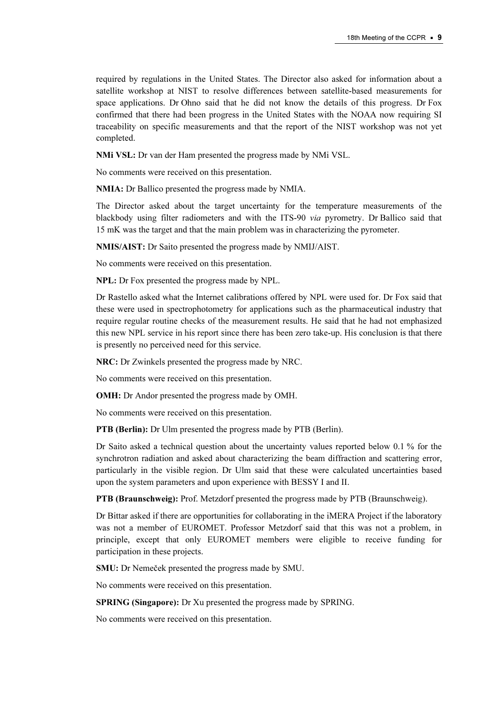required by regulations in the United States. The Director also asked for information about a satellite workshop at NIST to resolve differences between satellite-based measurements for space applications. Dr Ohno said that he did not know the details of this progress. Dr Fox confirmed that there had been progress in the United States with the NOAA now requiring SI traceability on specific measurements and that the report of the NIST workshop was not yet completed.

NMi VSL: Dr van der Ham presented the progress made by NMi VSL.

No comments were received on this presentation.

NMIA: Dr Ballico presented the progress made by NMIA.

The Director asked about the target uncertainty for the temperature measurements of the blackbody using filter radiometers and with the ITS-90 via pyrometry. Dr Ballico said that 15 mK was the target and that the main problem was in characterizing the pyrometer.

NMIS/AIST: Dr Saito presented the progress made by NMIJ/AIST.

No comments were received on this presentation.

NPL: Dr Fox presented the progress made by NPL.

Dr Rastello asked what the Internet calibrations offered by NPL were used for. Dr Fox said that these were used in spectrophotometry for applications such as the pharmaceutical industry that require regular routine checks of the measurement results. He said that he had not emphasized this new NPL service in his report since there has been zero take-up. His conclusion is that there is presently no perceived need for this service.

NRC: Dr Zwinkels presented the progress made by NRC.

No comments were received on this presentation.

OMH: Dr Andor presented the progress made by OMH.

No comments were received on this presentation.

PTB (Berlin): Dr Ulm presented the progress made by PTB (Berlin).

Dr Saito asked a technical question about the uncertainty values reported below 0.1 % for the synchrotron radiation and asked about characterizing the beam diffraction and scattering error, particularly in the visible region. Dr Ulm said that these were calculated uncertainties based upon the system parameters and upon experience with BESSY I and II.

PTB (Braunschweig): Prof. Metzdorf presented the progress made by PTB (Braunschweig).

Dr Bittar asked if there are opportunities for collaborating in the iMERA Project if the laboratory was not a member of EUROMET. Professor Metzdorf said that this was not a problem, in principle, except that only EUROMET members were eligible to receive funding for participation in these projects.

SMU: Dr Nemeček presented the progress made by SMU.

No comments were received on this presentation.

SPRING (Singapore): Dr Xu presented the progress made by SPRING.

No comments were received on this presentation.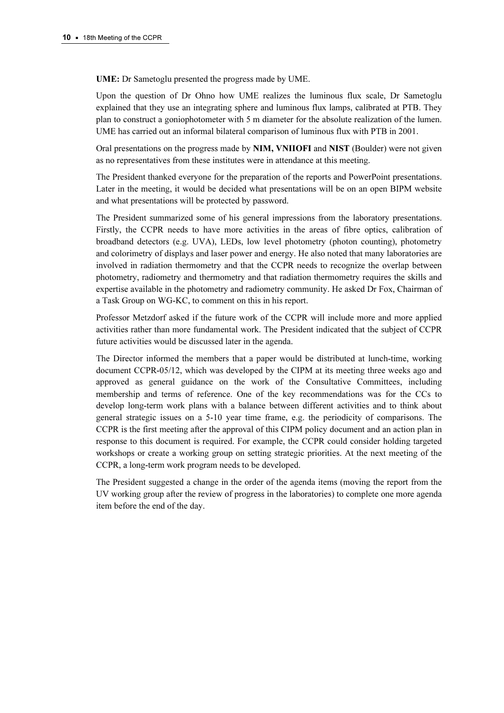UME: Dr Sametoglu presented the progress made by UME.

Upon the question of Dr Ohno how UME realizes the luminous flux scale, Dr Sametoglu explained that they use an integrating sphere and luminous flux lamps, calibrated at PTB. They plan to construct a goniophotometer with 5 m diameter for the absolute realization of the lumen. UME has carried out an informal bilateral comparison of luminous flux with PTB in 2001.

Oral presentations on the progress made by NIM, VNIIOFI and NIST (Boulder) were not given as no representatives from these institutes were in attendance at this meeting.

The President thanked everyone for the preparation of the reports and PowerPoint presentations. Later in the meeting, it would be decided what presentations will be on an open BIPM website and what presentations will be protected by password.

The President summarized some of his general impressions from the laboratory presentations. Firstly, the CCPR needs to have more activities in the areas of fibre optics, calibration of broadband detectors (e.g. UVA), LEDs, low level photometry (photon counting), photometry and colorimetry of displays and laser power and energy. He also noted that many laboratories are involved in radiation thermometry and that the CCPR needs to recognize the overlap between photometry, radiometry and thermometry and that radiation thermometry requires the skills and expertise available in the photometry and radiometry community. He asked Dr Fox, Chairman of a Task Group on WG-KC, to comment on this in his report.

Professor Metzdorf asked if the future work of the CCPR will include more and more applied activities rather than more fundamental work. The President indicated that the subject of CCPR future activities would be discussed later in the agenda.

The Director informed the members that a paper would be distributed at lunch-time, working document CCPR-05/12, which was developed by the CIPM at its meeting three weeks ago and approved as general guidance on the work of the Consultative Committees, including membership and terms of reference. One of the key recommendations was for the CCs to develop long-term work plans with a balance between different activities and to think about general strategic issues on a 5-10 year time frame, e.g. the periodicity of comparisons. The CCPR is the first meeting after the approval of this CIPM policy document and an action plan in response to this document is required. For example, the CCPR could consider holding targeted workshops or create a working group on setting strategic priorities. At the next meeting of the CCPR, a long-term work program needs to be developed.

The President suggested a change in the order of the agenda items (moving the report from the UV working group after the review of progress in the laboratories) to complete one more agenda item before the end of the day.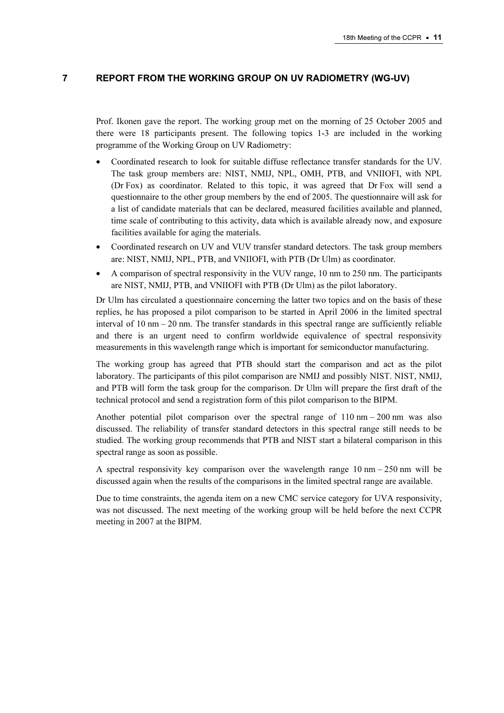# 7 REPORT FROM THE WORKING GROUP ON UV RADIOMETRY (WG-UV)

Prof. Ikonen gave the report. The working group met on the morning of 25 October 2005 and there were 18 participants present. The following topics 1-3 are included in the working programme of the Working Group on UV Radiometry:

- Coordinated research to look for suitable diffuse reflectance transfer standards for the UV. The task group members are: NIST, NMIJ, NPL, OMH, PTB, and VNIIOFI, with NPL (Dr Fox) as coordinator. Related to this topic, it was agreed that Dr Fox will send a questionnaire to the other group members by the end of 2005. The questionnaire will ask for a list of candidate materials that can be declared, measured facilities available and planned, time scale of contributing to this activity, data which is available already now, and exposure facilities available for aging the materials.
- Coordinated research on UV and VUV transfer standard detectors. The task group members are: NIST, NMIJ, NPL, PTB, and VNIIOFI, with PTB (Dr Ulm) as coordinator.
- A comparison of spectral responsivity in the VUV range, 10 nm to 250 nm. The participants are NIST, NMIJ, PTB, and VNIIOFI with PTB (Dr Ulm) as the pilot laboratory.

Dr Ulm has circulated a questionnaire concerning the latter two topics and on the basis of these replies, he has proposed a pilot comparison to be started in April 2006 in the limited spectral interval of 10 nm – 20 nm. The transfer standards in this spectral range are sufficiently reliable and there is an urgent need to confirm worldwide equivalence of spectral responsivity measurements in this wavelength range which is important for semiconductor manufacturing.

The working group has agreed that PTB should start the comparison and act as the pilot laboratory. The participants of this pilot comparison are NMIJ and possibly NIST. NIST, NMIJ, and PTB will form the task group for the comparison. Dr Ulm will prepare the first draft of the technical protocol and send a registration form of this pilot comparison to the BIPM.

Another potential pilot comparison over the spectral range of  $110 \text{ nm} - 200 \text{ nm}$  was also discussed. The reliability of transfer standard detectors in this spectral range still needs to be studied. The working group recommends that PTB and NIST start a bilateral comparison in this spectral range as soon as possible.

A spectral responsivity key comparison over the wavelength range  $10 \text{ nm} - 250 \text{ nm}$  will be discussed again when the results of the comparisons in the limited spectral range are available.

Due to time constraints, the agenda item on a new CMC service category for UVA responsivity, was not discussed. The next meeting of the working group will be held before the next CCPR meeting in 2007 at the BIPM.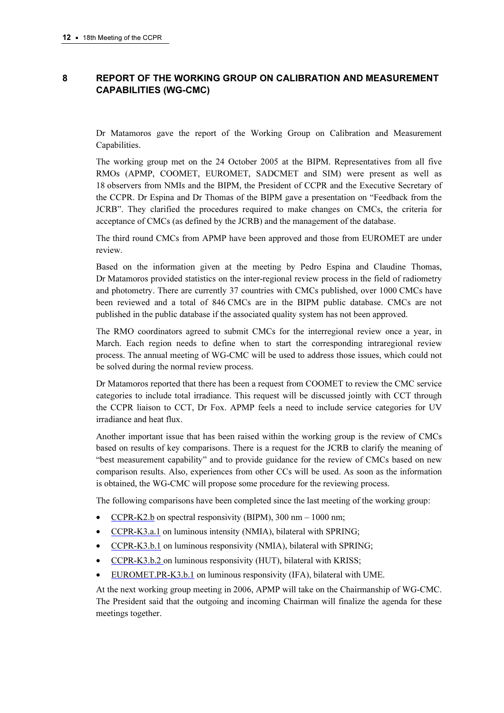# 8 REPORT OF THE WORKING GROUP ON CALIBRATION AND MEASUREMENT CAPABILITIES (WG-CMC)

Dr Matamoros gave the report of the Working Group on Calibration and Measurement Capabilities.

The working group met on the 24 October 2005 at the BIPM. Representatives from all five RMOs (APMP, COOMET, EUROMET, SADCMET and SIM) were present as well as 18 observers from NMIs and the BIPM, the President of CCPR and the Executive Secretary of the CCPR. Dr Espina and Dr Thomas of the BIPM gave a presentation on "Feedback from the JCRB". They clarified the procedures required to make changes on CMCs, the criteria for acceptance of CMCs (as defined by the JCRB) and the management of the database.

The third round CMCs from APMP have been approved and those from EUROMET are under review.

Based on the information given at the meeting by Pedro Espina and Claudine Thomas, Dr Matamoros provided statistics on the inter-regional review process in the field of radiometry and photometry. There are currently 37 countries with CMCs published, over 1000 CMCs have been reviewed and a total of 846 CMCs are in the BIPM public database. CMCs are not published in the public database if the associated quality system has not been approved.

The RMO coordinators agreed to submit CMCs for the interregional review once a year, in March. Each region needs to define when to start the corresponding intraregional review process. The annual meeting of WG-CMC will be used to address those issues, which could not be solved during the normal review process.

Dr Matamoros reported that there has been a request from COOMET to review the CMC service categories to include total irradiance. This request will be discussed jointly with CCT through the CCPR liaison to CCT, Dr Fox. APMP feels a need to include service categories for UV irradiance and heat flux.

Another important issue that has been raised within the working group is the review of CMCs based on results of key comparisons. There is a request for the JCRB to clarify the meaning of "best measurement capability" and to provide guidance for the review of CMCs based on new comparison results. Also, experiences from other CCs will be used. As soon as the information is obtained, the WG-CMC will propose some procedure for the reviewing process.

The following comparisons have been completed since the last meeting of the working group:

- [CCPR-K2.b on s](http://kcdb.bipm.org/AppendixB/KCDB_ApB_info.asp?cmp_idy=484&cmp_cod=CCPR%2DK2%2Eb&page=1&search=2&cmp_cod_search=CCPR%2DK2&met_idy=&bra_idy=&epo_idy=&cmt_idy=&ett_idy_org=&lab_idy=)pectral responsivity (BIPM), 300 nm 1000 nm;
- [CCPR-K3.a.1 on l](http://kcdb.bipm.org/AppendixB/KCDB_ApB_info.asp?cmp_idy=611&cmp_cod=CCPR%2DK3%2Ea%2E1&page=1&search=2&cmp_cod_search=CCPR%2DK3&met_idy=&bra_idy=&epo_idy=&cmt_idy=&ett_idy_org=&lab_idy=)uminous intensity (NMIA), bilateral with SPRING;
- [CCPR-K3.b.1 on lu](http://kcdb.bipm.org/AppendixB/KCDB_ApB_info.asp?cmp_idy=612&cmp_cod=CCPR%2DK3%2Eb%2E1&page=1&search=2&cmp_cod_search=CCPR%2DK3&met_idy=&bra_idy=&epo_idy=&cmt_idy=&ett_idy_org=&lab_idy=)minous responsivity (NMIA), bilateral with SPRING;
- [CCPR-K3.b.2 on lu](http://kcdb.bipm.org/AppendixB/KCDB_ApB_info.asp?cmp_idy=613&cmp_cod=CCPR%2DK3%2Eb%2E2&page=1&search=2&cmp_cod_search=CCPR%2DK3&met_idy=&bra_idy=&epo_idy=&cmt_idy=&ett_idy_org=&lab_idy=)minous responsivity (HUT), bilateral with KRISS;
- [EUROMET.PR-K3.b.1 on](http://kcdb.bipm.org/AppendixB/KCDB_ApB_info.asp?cmp_idy=695&cmp_cod=EUROMET%2EPR%2DK3%2Eb%2E1&page=1&search=2&cmp_cod_search=EUROMET%2EPR%2DK3&met_idy=&bra_idy=&epo_idy=&cmt_idy=&ett_idy_org=&lab_idy=) luminous responsivity (IFA), bilateral with UME.

At the next working group meeting in 2006, APMP will take on the Chairmanship of WG-CMC. The President said that the outgoing and incoming Chairman will finalize the agenda for these meetings together.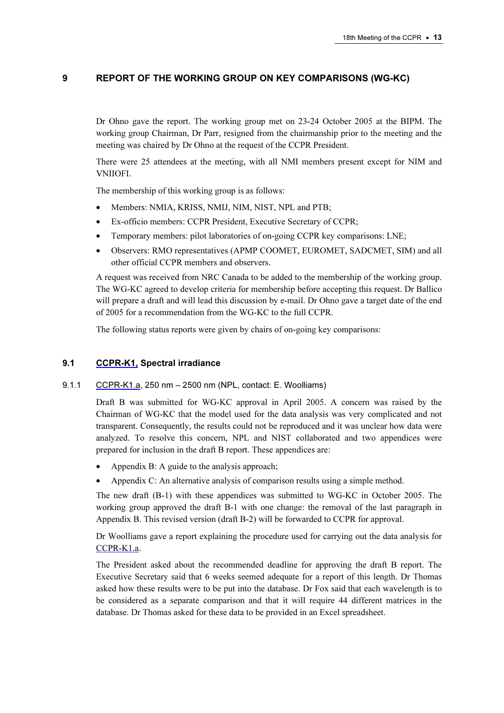# 9 REPORT OF THE WORKING GROUP ON KEY COMPARISONS (WG-KC)

Dr Ohno gave the report. The working group met on 23-24 October 2005 at the BIPM. The working group Chairman, Dr Parr, resigned from the chairmanship prior to the meeting and the meeting was chaired by Dr Ohno at the request of the CCPR President.

There were 25 attendees at the meeting, with all NMI members present except for NIM and VNIIOFI.

The membership of this working group is as follows:

- Members: NMIA, KRISS, NMIJ, NIM, NIST, NPL and PTB;
- Ex-officio members: CCPR President, Executive Secretary of CCPR;
- Temporary members: pilot laboratories of on-going CCPR key comparisons: LNE;
- Observers: RMO representatives (APMP COOMET, EUROMET, SADCMET, SIM) and all other official CCPR members and observers.

A request was received from NRC Canada to be added to the membership of the working group. The WG-KC agreed to develop criteria for membership before accepting this request. Dr Ballico will prepare a draft and will lead this discussion by e-mail. Dr Ohno gave a target date of the end of 2005 for a recommendation from the WG-KC to the full CCPR.

The following status reports were given by chairs of on-going key comparisons:

## 9.1 [CCPR-K1, Spec](http://kcdb.bipm.org/AppendixB/KCDB_ApB_search_result.asp?search=2&cmp_cod_search=CCPR-K1&match_exact=0)tral irradiance

#### 9.1.1 [CCPR-K1.a, 2](http://kcdb.bipm.org/AppendixB/KCDB_ApB_info.asp?cmp_idy=478&cmp_cod=CCPR%2DK1%2Ea&page=1&search=2&cmp_cod_search=CCPR%2DK1&met_idy=&bra_idy=&epo_idy=&cmt_idy=&ett_idy_org=&lab_idy=)50 nm – 2500 nm (NPL, contact: E. Woolliams)

Draft B was submitted for WG-KC approval in April 2005. A concern was raised by the Chairman of WG-KC that the model used for the data analysis was very complicated and not transparent. Consequently, the results could not be reproduced and it was unclear how data were analyzed. To resolve this concern, NPL and NIST collaborated and two appendices were prepared for inclusion in the draft B report. These appendices are:

- Appendix B: A guide to the analysis approach;
- Appendix C: An alternative analysis of comparison results using a simple method.

The new draft (B-1) with these appendices was submitted to WG-KC in October 2005. The working group approved the draft B-1 with one change: the removal of the last paragraph in Appendix B. This revised version (draft B-2) will be forwarded to CCPR for approval.

Dr Woolliams gave a report explaining the procedure used for carrying out the data analysis for [CCPR-K1.a.](http://kcdb.bipm.org/AppendixB/KCDB_ApB_info.asp?cmp_idy=478&cmp_cod=CCPR%2DK1%2Ea&page=1&search=2&cmp_cod_search=CCPR%2DK1&met_idy=&bra_idy=&epo_idy=&cmt_idy=&ett_idy_org=&lab_idy=) 

The President asked about the recommended deadline for approving the draft B report. The Executive Secretary said that 6 weeks seemed adequate for a report of this length. Dr Thomas asked how these results were to be put into the database. Dr Fox said that each wavelength is to be considered as a separate comparison and that it will require 44 different matrices in the database. Dr Thomas asked for these data to be provided in an Excel spreadsheet.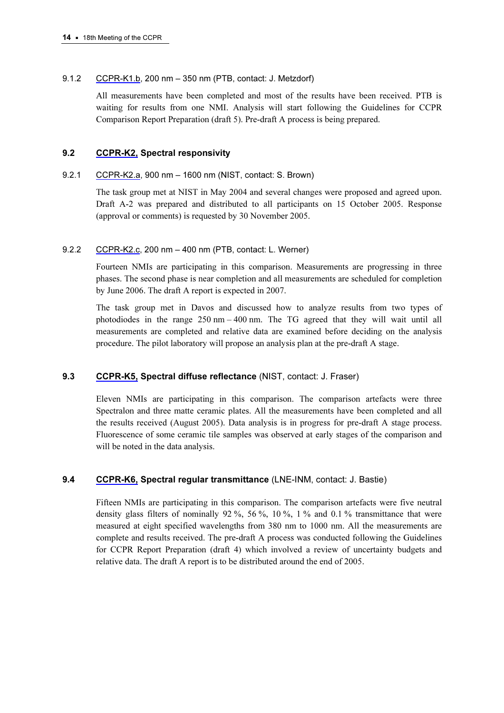## 9.1.2 [CCPR-K1.b, 200](http://kcdb.bipm.org/AppendixB/KCDB_ApB_info.asp?cmp_idy=481&cmp_cod=CCPR%2DK1%2Eb+&page=1&search=2&cmp_cod_search=CCPR%2DK1&met_idy=&bra_idy=&epo_idy=&cmt_idy=&ett_idy_org=&lab_idy=) nm – 350 nm (PTB, contact: J. Metzdorf)

All measurements have been completed and most of the results have been received. PTB is waiting for results from one NMI. Analysis will start following the Guidelines for CCPR Comparison Report Preparation (draft 5). Pre-draft A process is being prepared.

# 9.2 [CCPR-K2, Spectral](http://kcdb.bipm.org/AppendixB/KCDB_ApB_search_result.asp?search=2&cmp_cod_search=CCPR-K2&match_exact=0) responsivity

## 9.2.1 [CCPR-K2.a, 900](http://kcdb.bipm.org/AppendixB/KCDB_ApB_info.asp?cmp_idy=483&cmp_cod=CCPR%2DK2%2Ea&page=1&search=2&cmp_cod_search=CCPR%2DK2&met_idy=&bra_idy=&epo_idy=&cmt_idy=&ett_idy_org=&lab_idy=) nm – 1600 nm (NIST, contact: S. Brown)

The task group met at NIST in May 2004 and several changes were proposed and agreed upon. Draft A-2 was prepared and distributed to all participants on 15 October 2005. Response (approval or comments) is requested by 30 November 2005.

## 9.2.2 [CCPR-K2.c, 200 nm](http://kcdb.bipm.org/AppendixB/KCDB_ApB_info.asp?cmp_idy=485&cmp_cod=CCPR%2DK2%2Ec&page=1&search=2&cmp_cod_search=CCPR%2DK2&met_idy=&bra_idy=&epo_idy=&cmt_idy=&ett_idy_org=&lab_idy=) – 400 nm (PTB, contact: L. Werner)

Fourteen NMIs are participating in this comparison. Measurements are progressing in three phases. The second phase is near completion and all measurements are scheduled for completion by June 2006. The draft A report is expected in 2007.

The task group met in Davos and discussed how to analyze results from two types of photodiodes in the range 250 nm – 400 nm. The TG agreed that they will wait until all measurements are completed and relative data are examined before deciding on the analysis procedure. The pilot laboratory will propose an analysis plan at the pre-draft A stage.

# 9.3 [CCPR-K5, Spec](http://kcdb.bipm.org/AppendixB/KCDB_ApB_info.asp?cmp_idy=491&cmp_cod=CCPR%2DK5&page=1&search=2&cmp_cod_search=CCPR%2DK5&met_idy=&bra_idy=&epo_idy=&cmt_idy=&ett_idy_org=&lab_idy=)tral diffuse reflectance (NIST, contact: J. Fraser)

Eleven NMIs are participating in this comparison. The comparison artefacts were three Spectralon and three matte ceramic plates. All the measurements have been completed and all the results received (August 2005). Data analysis is in progress for pre-draft A stage process. Fluorescence of some ceramic tile samples was observed at early stages of the comparison and will be noted in the data analysis.

# 9.4 [CCPR-K6, Spect](http://kcdb.bipm.org/AppendixB/KCDB_ApB_info.asp?cmp_idy=492&cmp_cod=CCPR%2DK6&page=1&search=2&cmp_cod_search=CCPR%2DK6&met_idy=&bra_idy=&epo_idy=&cmt_idy=&ett_idy_org=&lab_idy=)ral regular transmittance (LNE-INM, contact: J. Bastie)

Fifteen NMIs are participating in this comparison. The comparison artefacts were five neutral density glass filters of nominally 92 %, 56 %, 10 %, 1 % and 0.1 % transmittance that were measured at eight specified wavelengths from 380 nm to 1000 nm. All the measurements are complete and results received. The pre-draft A process was conducted following the Guidelines for CCPR Report Preparation (draft 4) which involved a review of uncertainty budgets and relative data. The draft A report is to be distributed around the end of 2005.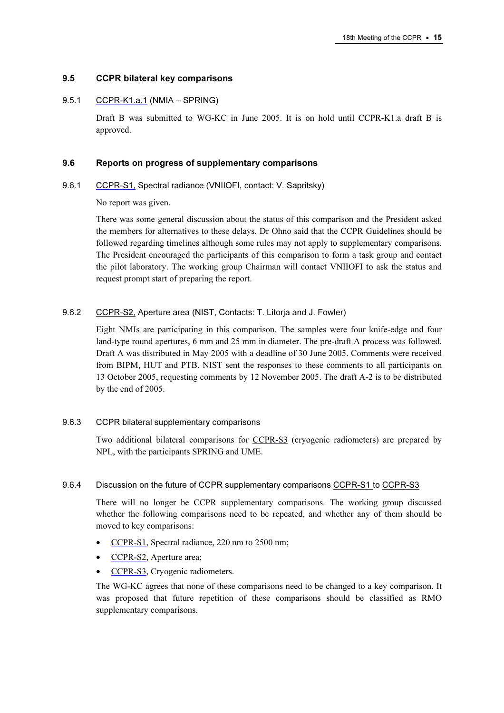### 9.5 CCPR bilateral key comparisons

#### 9.5.1 [CCPR-K1.a.1 \(NMIA – SPRI](http://kcdb.bipm.org/AppendixB/KCDB_ApB_info.asp?cmp_idy=610&cmp_cod=CCPR%2DK1%2Ea%2E1&page=1&search=2&cmp_cod_search=CCPR%2DK1%2Ea&met_idy=&bra_idy=&epo_idy=&cmt_idy=&ett_idy_org=&lab_idy=)NG)

Draft B was submitted to WG-KC in June 2005. It is on hold until CCPR-K1.a draft B is approved.

#### 9.6 Reports on progress of supplementary comparisons

#### 9.6.1 [CCPR-S1, Spect](http://kcdb.bipm.org/AppendixB/KCDB_ApB_info.asp?cmp_idy=493&cmp_cod=CCPR%2DS1&page=1&search=2&cmp_cod_search=CCPR%2DS&met_idy=&bra_idy=&epo_idy=&cmt_idy=&ett_idy_org=&lab_idy=)ral radiance (VNIIOFI, contact: V. Sapritsky)

No report was given.

There was some general discussion about the status of this comparison and the President asked the members for alternatives to these delays. Dr Ohno said that the CCPR Guidelines should be followed regarding timelines although some rules may not apply to supplementary comparisons. The President encouraged the participants of this comparison to form a task group and contact the pilot laboratory. The working group Chairman will contact VNIIOFI to ask the status and request prompt start of preparing the report.

## 9.6.2 [CCPR-S2, Ape](http://kcdb.bipm.org/AppendixB/KCDB_ApB_info.asp?cmp_idy=494&cmp_cod=CCPR%2DS2&page=1&search=2&cmp_cod_search=CCPR%2DS&met_idy=&bra_idy=&epo_idy=&cmt_idy=&ett_idy_org=&lab_idy=)rture area (NIST, Contacts: T. Litorja and J. Fowler)

Eight NMIs are participating in this comparison. The samples were four knife-edge and four land-type round apertures, 6 mm and 25 mm in diameter. The pre-draft A process was followed. Draft A was distributed in May 2005 with a deadline of 30 June 2005. Comments were received from BIPM, HUT and PTB. NIST sent the responses to these comments to all participants on 13 October 2005, requesting comments by 12 November 2005. The draft A-2 is to be distributed by the end of 2005.

#### 9.6.3 CCPR bilateral supplementary comparisons

Two additional bilateral comparisons f[or CCPR-S3 \(cryogen](http://kcdb.bipm.org/AppendixB/KCDB_ApB_info.asp?cmp_idy=495&cmp_cod=CCPR%2DS3&page=1&search=2&cmp_cod_search=CCPR%2DS&met_idy=&bra_idy=&epo_idy=&cmt_idy=&ett_idy_org=&lab_idy=)ic radiometers) are prepared by NPL, with the participants SPRING and UME.

#### 9.6.4 Discussion on the future of CCPR supplementary compariso[ns CCPR-S1 to CCPR-S3](http://kcdb.bipm.org/AppendixB/KCDB_ApB_search_result.asp?search=2&cmp_cod_search=CCPR-S&match_exact=0)

There will no longer be CCPR supplementary comparisons. The working group discussed whether the following comparisons need to be repeated, and whether any of them should be moved to key comparisons:

- [CCPR-S1, Spe](http://kcdb.bipm.org/AppendixB/KCDB_ApB_info.asp?cmp_idy=493&cmp_cod=CCPR%2DS1&page=1&search=2&cmp_cod_search=CCPR%2DS&met_idy=&bra_idy=&epo_idy=&cmt_idy=&ett_idy_org=&lab_idy=)ctral radiance, 220 nm to 2500 nm;
- [CCPR-S2, Ape](http://kcdb.bipm.org/AppendixB/KCDB_ApB_info.asp?cmp_idy=494&cmp_cod=CCPR%2DS2&page=1&search=2&cmp_cod_search=CCPR%2DS&met_idy=&bra_idy=&epo_idy=&cmt_idy=&ett_idy_org=&lab_idy=)rture area;
- [CCPR-S3, Cryo](http://kcdb.bipm.org/AppendixB/KCDB_ApB_info.asp?cmp_idy=495&cmp_cod=CCPR%2DS3&page=1&search=2&cmp_cod_search=CCPR%2DS&met_idy=&bra_idy=&epo_idy=&cmt_idy=&ett_idy_org=&lab_idy=)genic radiometers.

The WG-KC agrees that none of these comparisons need to be changed to a key comparison. It was proposed that future repetition of these comparisons should be classified as RMO supplementary comparisons.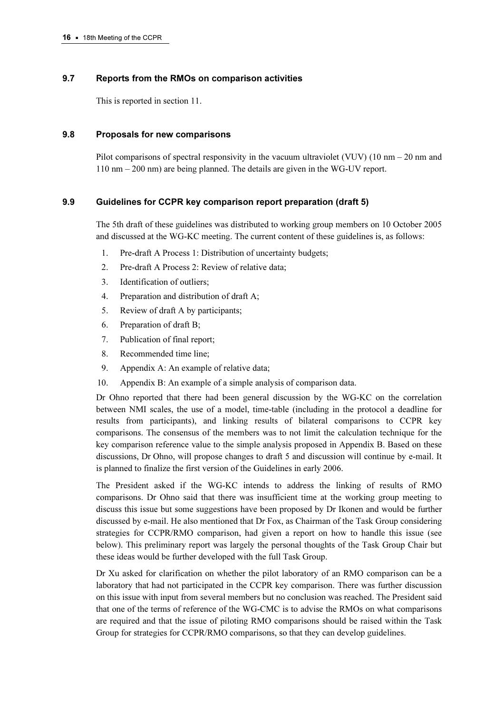# 9.7 Reports from the RMOs on comparison activities

This is reported in section 11.

## 9.8 Proposals for new comparisons

Pilot comparisons of spectral responsivity in the vacuum ultraviolet (VUV) (10 nm – 20 nm and 110 nm – 200 nm) are being planned. The details are given in the WG-UV report.

# 9.9 Guidelines for CCPR key comparison report preparation (draft 5)

The 5th draft of these guidelines was distributed to working group members on 10 October 2005 and discussed at the WG-KC meeting. The current content of these guidelines is, as follows:

- 1. Pre-draft A Process 1: Distribution of uncertainty budgets;
- 2. Pre-draft A Process 2: Review of relative data;
- 3. Identification of outliers;
- 4. Preparation and distribution of draft A;
- 5. Review of draft A by participants;
- 6. Preparation of draft B;
- 7. Publication of final report;
- 8. Recommended time line;
- 9. Appendix A: An example of relative data;
- 10. Appendix B: An example of a simple analysis of comparison data.

Dr Ohno reported that there had been general discussion by the WG-KC on the correlation between NMI scales, the use of a model, time-table (including in the protocol a deadline for results from participants), and linking results of bilateral comparisons to CCPR key comparisons. The consensus of the members was to not limit the calculation technique for the key comparison reference value to the simple analysis proposed in Appendix B. Based on these discussions, Dr Ohno, will propose changes to draft 5 and discussion will continue by e-mail. It is planned to finalize the first version of the Guidelines in early 2006.

The President asked if the WG-KC intends to address the linking of results of RMO comparisons. Dr Ohno said that there was insufficient time at the working group meeting to discuss this issue but some suggestions have been proposed by Dr Ikonen and would be further discussed by e-mail. He also mentioned that Dr Fox, as Chairman of the Task Group considering strategies for CCPR/RMO comparison, had given a report on how to handle this issue (see below). This preliminary report was largely the personal thoughts of the Task Group Chair but these ideas would be further developed with the full Task Group.

Dr Xu asked for clarification on whether the pilot laboratory of an RMO comparison can be a laboratory that had not participated in the CCPR key comparison. There was further discussion on this issue with input from several members but no conclusion was reached. The President said that one of the terms of reference of the WG-CMC is to advise the RMOs on what comparisons are required and that the issue of piloting RMO comparisons should be raised within the Task Group for strategies for CCPR/RMO comparisons, so that they can develop guidelines.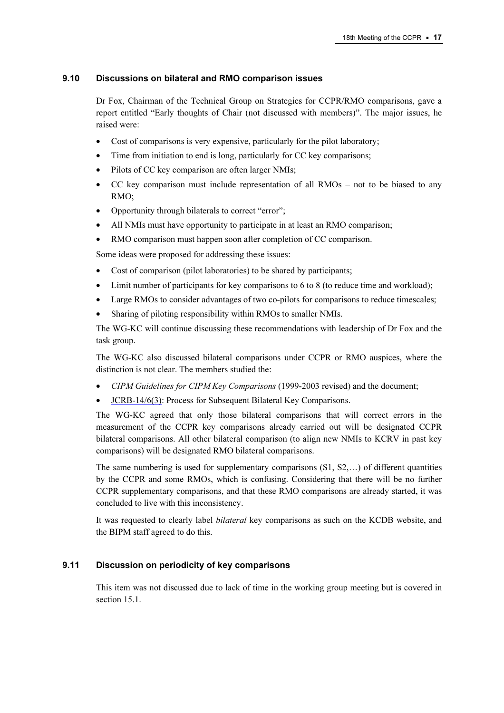## 9.10 Discussions on bilateral and RMO comparison issues

Dr Fox, Chairman of the Technical Group on Strategies for CCPR/RMO comparisons, gave a report entitled "Early thoughts of Chair (not discussed with members)". The major issues, he raised were:

- Cost of comparisons is very expensive, particularly for the pilot laboratory;
- Time from initiation to end is long, particularly for CC key comparisons;
- Pilots of CC key comparison are often larger NMIs;
- CC key comparison must include representation of all RMOs not to be biased to any RMO;
- Opportunity through bilaterals to correct "error";
- All NMIs must have opportunity to participate in at least an RMO comparison;
- RMO comparison must happen soon after completion of CC comparison.

Some ideas were proposed for addressing these issues:

- Cost of comparison (pilot laboratories) to be shared by participants;
- Limit number of participants for key comparisons to 6 to 8 (to reduce time and workload);
- Large RMOs to consider advantages of two co-pilots for comparisons to reduce timescales;
- Sharing of piloting responsibility within RMOs to smaller NMIs.

The WG-KC will continue discussing these recommendations with leadership of Dr Fox and the task group.

The WG-KC also discussed bilateral comparisons under CCPR or RMO auspices, where the distinction is not clear. The members studied the:

- [CIPM Guidelines for CIPM Key Comparisons](https://www.bipm.org/utils/en/pdf/guidelines.pdf) (1999-2003 revised) and the document;
- [JCRB-14/6\(3\): Process for](https://www.bipm.org/utils/common/documents/jcrb/subsequent_bilaterals.pdf) Subsequent Bilateral Key Comparisons.

The WG-KC agreed that only those bilateral comparisons that will correct errors in the measurement of the CCPR key comparisons already carried out will be designated CCPR bilateral comparisons. All other bilateral comparison (to align new NMIs to KCRV in past key comparisons) will be designated RMO bilateral comparisons.

The same numbering is used for supplementary comparisons  $(S1, S2, \ldots)$  of different quantities by the CCPR and some RMOs, which is confusing. Considering that there will be no further CCPR supplementary comparisons, and that these RMO comparisons are already started, it was concluded to live with this inconsistency.

It was requested to clearly label bilateral key comparisons as such on the KCDB website, and the BIPM staff agreed to do this.

# 9.11 Discussion on periodicity of key comparisons

This item was not discussed due to lack of time in the working group meeting but is covered in section 15.1.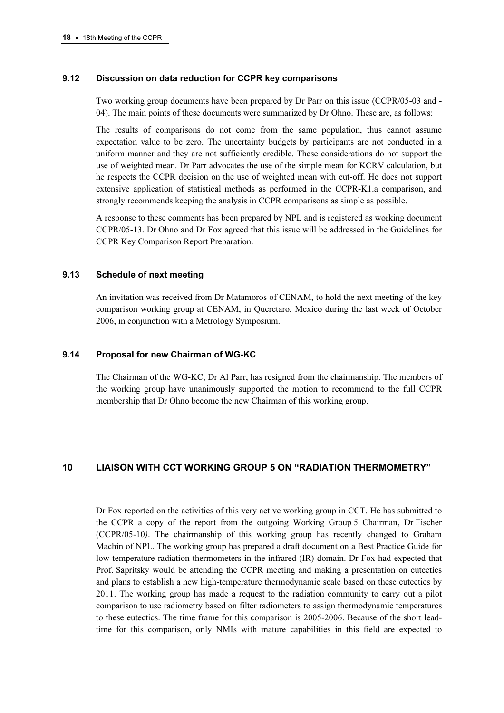#### 9.12 Discussion on data reduction for CCPR key comparisons

Two working group documents have been prepared by Dr Parr on this issue (CCPR/05-03 and - 04). The main points of these documents were summarized by Dr Ohno. These are, as follows:

The results of comparisons do not come from the same population, thus cannot assume expectation value to be zero. The uncertainty budgets by participants are not conducted in a uniform manner and they are not sufficiently credible. These considerations do not support the use of weighted mean. Dr Parr advocates the use of the simple mean for KCRV calculation, but he respects the CCPR decision on the use of weighted mean with cut-off. He does not support extensive application of statistical methods as performed in t[he CCPR-K1.a comparis](http://kcdb.bipm.org/AppendixB/KCDB_ApB_info.asp?cmp_idy=478&cmp_cod=CCPR%2DK1%2Ea&page=1&search=2&cmp_cod_search=CCPR%2DK1&met_idy=&bra_idy=&epo_idy=&cmt_idy=&ett_idy_org=&lab_idy=)on, and strongly recommends keeping the analysis in CCPR comparisons as simple as possible.

A response to these comments has been prepared by NPL and is registered as working document CCPR/05-13. Dr Ohno and Dr Fox agreed that this issue will be addressed in the Guidelines for CCPR Key Comparison Report Preparation.

#### 9.13 Schedule of next meeting

An invitation was received from Dr Matamoros of CENAM, to hold the next meeting of the key comparison working group at CENAM, in Queretaro, Mexico during the last week of October 2006, in conjunction with a Metrology Symposium.

#### 9.14 Proposal for new Chairman of WG-KC

The Chairman of the WG-KC, Dr Al Parr, has resigned from the chairmanship. The members of the working group have unanimously supported the motion to recommend to the full CCPR membership that Dr Ohno become the new Chairman of this working group.

## 10 LIAISON WITH CCT WORKING GROUP 5 ON "RADIATION THERMOMETRY"

Dr Fox reported on the activities of this very active working group in CCT. He has submitted to the CCPR a copy of the report from the outgoing Working Group 5 Chairman, Dr Fischer (CCPR/05-10). The chairmanship of this working group has recently changed to Graham Machin of NPL. The working group has prepared a draft document on a Best Practice Guide for low temperature radiation thermometers in the infrared (IR) domain. Dr Fox had expected that Prof. Sapritsky would be attending the CCPR meeting and making a presentation on eutectics and plans to establish a new high-temperature thermodynamic scale based on these eutectics by 2011. The working group has made a request to the radiation community to carry out a pilot comparison to use radiometry based on filter radiometers to assign thermodynamic temperatures to these eutectics. The time frame for this comparison is 2005-2006. Because of the short leadtime for this comparison, only NMIs with mature capabilities in this field are expected to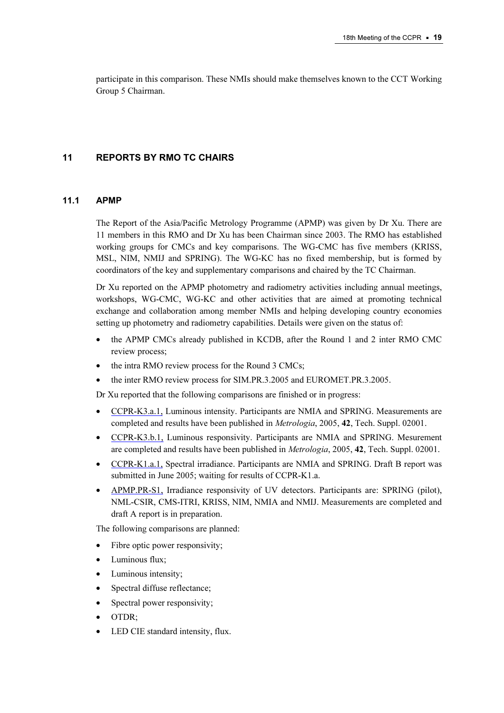participate in this comparison. These NMIs should make themselves known to the CCT Working Group 5 Chairman.

# 11 REPORTS BY RMO TC CHAIRS

#### 11.1 APMP

The Report of the Asia/Pacific Metrology Programme (APMP) was given by Dr Xu. There are 11 members in this RMO and Dr Xu has been Chairman since 2003. The RMO has established working groups for CMCs and key comparisons. The WG-CMC has five members (KRISS, MSL, NIM, NMIJ and SPRING). The WG-KC has no fixed membership, but is formed by coordinators of the key and supplementary comparisons and chaired by the TC Chairman.

Dr Xu reported on the APMP photometry and radiometry activities including annual meetings, workshops, WG-CMC, WG-KC and other activities that are aimed at promoting technical exchange and collaboration among member NMIs and helping developing country economies setting up photometry and radiometry capabilities. Details were given on the status of:

- the APMP CMCs already published in KCDB, after the Round 1 and 2 inter RMO CMC review process;
- the intra RMO review process for the Round 3 CMCs;
- the inter RMO review process for SIM.PR.3.2005 and EUROMET.PR.3.2005.

Dr Xu reported that the following comparisons are finished or in progress:

- [CCPR-K3.a.1, Lum](http://kcdb.bipm.org/AppendixB/KCDB_ApB_info.asp?cmp_idy=611&cmp_cod=CCPR%2DK3%2Ea%2E1&page=1&search=2&cmp_cod_search=CCPR%2DK3&met_idy=&bra_idy=&epo_idy=&cmt_idy=&ett_idy_org=&lab_idy=)inous intensity. Participants are NMIA and SPRING. Measurements are completed and results have been published in Metrologia, 2005, 42, Tech. Suppl. 02001.
- [CCPR-K3.b.1, Luminou](http://kcdb.bipm.org/AppendixB/KCDB_ApB_info.asp?cmp_idy=612&cmp_cod=CCPR%2DK3%2Eb%2E1&page=1&search=2&cmp_cod_search=CCPR%2DK3&met_idy=&bra_idy=&epo_idy=&cmt_idy=&ett_idy_org=&lab_idy=)s responsivity. Participants are NMIA and SPRING. Mesurement are completed and results have been published in *Metrologia*, 2005, 42, Tech. Suppl. 02001.
- [CCPR-K1.a.1, Spectra](http://kcdb.bipm.org/AppendixB/KCDB_ApB_info.asp?cmp_idy=610&cmp_cod=CCPR%2DK1%2Ea%2E1&page=1&search=2&cmp_cod_search=CCPR%2DK1&met_idy=&bra_idy=&epo_idy=&cmt_idy=&ett_idy_org=&lab_idy=)l irradiance. Participants are NMIA and SPRING. Draft B report was submitted in June 2005; waiting for results of CCPR-K1.a.
- [APMP.PR-S1, Irrad](http://kcdb.bipm.org/AppendixB/KCDB_ApB_info.asp?cmp_idy=574&cmp_cod=APMP%2EPR%2DS1&page=1&search=2&cmp_cod_search=APMP%2Epr%2DS&met_idy=&bra_idy=&epo_idy=&cmt_idy=&ett_idy_org=&lab_idy=)iance responsivity of UV detectors. Participants are: SPRING (pilot), NML-CSIR, CMS-ITRI, KRISS, NIM, NMIA and NMIJ. Measurements are completed and draft A report is in preparation.

The following comparisons are planned:

- Fibre optic power responsivity;
- Luminous flux;
- Luminous intensity;
- Spectral diffuse reflectance;
- Spectral power responsivity;
- OTDR;
- LED CIE standard intensity, flux.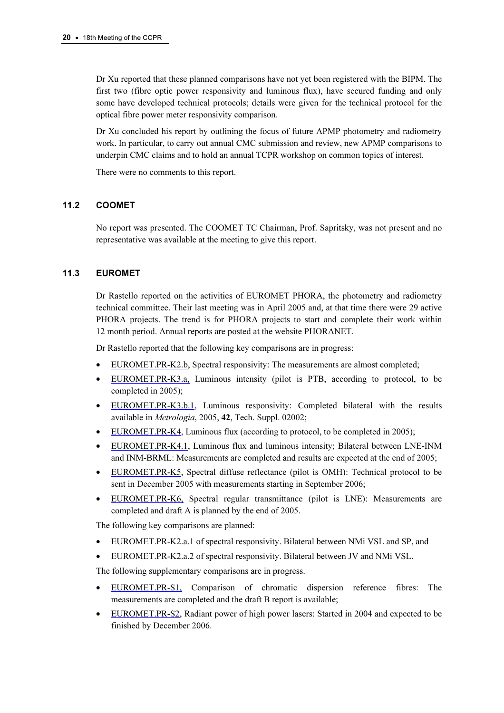Dr Xu reported that these planned comparisons have not yet been registered with the BIPM. The first two (fibre optic power responsivity and luminous flux), have secured funding and only some have developed technical protocols; details were given for the technical protocol for the optical fibre power meter responsivity comparison.

Dr Xu concluded his report by outlining the focus of future APMP photometry and radiometry work. In particular, to carry out annual CMC submission and review, new APMP comparisons to underpin CMC claims and to hold an annual TCPR workshop on common topics of interest.

There were no comments to this report.

# 11.2 COOMET

No report was presented. The COOMET TC Chairman, Prof. Sapritsky, was not present and no representative was available at the meeting to give this report.

# 11.3 EUROMET

Dr Rastello reported on the activities of EUROMET PHORA, the photometry and radiometry technical committee. Their last meeting was in April 2005 and, at that time there were 29 active PHORA projects. The trend is for PHORA projects to start and complete their work within 12 month period. Annual reports are posted at the website PHORANET.

Dr Rastello reported that the following key comparisons are in progress:

- [EUROMET.PR-K2.b, Spe](http://kcdb.bipm.org/AppendixB/KCDB_ApB_info.asp?cmp_idy=500&cmp_cod=EUROMET%2EPR%2DK2%2Eb&page=1&search=2&cmp_cod_search=EUROMET%2EPR%2DK2&met_idy=&bra_idy=&epo_idy=&cmt_idy=&ett_idy_org=&lab_idy=)ctral responsivity: The measurements are almost completed;
- [EUROMET.PR-K3.a, Lu](http://kcdb.bipm.org/AppendixB/KCDB_ApB_info.asp?cmp_idy=501&cmp_cod=EUROMET%2EPR%2DK3%2Ea&page=1&search=2&cmp_cod_search=EUROMET%2EPR%2DK3&met_idy=&bra_idy=&epo_idy=&cmt_idy=&ett_idy_org=&lab_idy=)minous intensity (pilot is PTB, according to protocol, to be completed in 2005);
- [EUROMET.PR-K3.b.1, Lu](http://kcdb.bipm.org/AppendixB/KCDB_ApB_info.asp?cmp_idy=695&cmp_cod=EUROMET%2EPR%2DK3%2Eb%2E1&page=1&search=2&cmp_cod_search=EUROMET%2EPR%2DK3&met_idy=&bra_idy=&epo_idy=&cmt_idy=&ett_idy_org=&lab_idy=)minous responsivity: Completed bilateral with the results available in Metrologia, 2005, 42, Tech. Suppl. 02002;
- [EUROMET.PR-K4, Lum](http://kcdb.bipm.org/AppendixB/KCDB_ApB_info.asp?cmp_idy=504&cmp_cod=EUROMET%2EPR%2DK4&page=1&search=2&cmp_cod_search=EUROMET%2EPR%2DK4&met_idy=&bra_idy=&epo_idy=&cmt_idy=&ett_idy_org=&lab_idy=)inous flux (according to protocol, to be completed in 2005);
- [EUROMET.PR-K4.1, Lum](http://kcdb.bipm.org/AppendixB/KCDB_ApB_info.asp?cmp_idy=672&cmp_cod=EUROMET%2EPR%2DK4%2E1&page=1&search=2&cmp_cod_search=EUROMET%2EPR%2DK4&met_idy=&bra_idy=&epo_idy=&cmt_idy=&ett_idy_org=&lab_idy=)inous flux and luminous intensity; Bilateral between LNE-INM and INM-BRML: Measurements are completed and results are expected at the end of 2005;
- [EUROMET.PR-K5, Spec](http://kcdb.bipm.org/AppendixB/KCDB_ApB_info.asp?cmp_idy=505&cmp_cod=EUROMET%2EPR%2DK5&page=1&search=2&cmp_cod_search=EUROMET%2EPR%2DK5&met_idy=&bra_idy=&epo_idy=&cmt_idy=&ett_idy_org=&lab_idy=)tral diffuse reflectance (pilot is OMH): Technical protocol to be sent in December 2005 with measurements starting in September 2006;
- [EUROMET.PR-K6, Spe](http://kcdb.bipm.org/AppendixB/KCDB_ApB_info.asp?cmp_idy=506&cmp_cod=EUROMET%2EPR%2DK6&page=1&search=2&cmp_cod_search=EUROMET%2Epr%2DK6&met_idy=&bra_idy=&epo_idy=&cmt_idy=&ett_idy_org=&lab_idy=)ctral regular transmittance (pilot is LNE): Measurements are completed and draft A is planned by the end of 2005.

The following key comparisons are planned:

- EUROMET.PR-K2.a.1 of spectral responsivity. Bilateral between NMi VSL and SP, and
- EUROMET.PR-K2.a.2 of spectral responsivity. Bilateral between JV and NMi VSL.

The following supplementary comparisons are in progress.

- [EUROMET.PR-S1, C](http://kcdb.bipm.org/AppendixB/KCDB_ApB_info.asp?cmp_idy=585&cmp_cod=EUROMET%2EPR%2DS1&page=1&search=2&cmp_cod_search=EUROMET%2EPR%2DS&met_idy=&bra_idy=&epo_idy=&cmt_idy=&ett_idy_org=&lab_idy=)omparison of chromatic dispersion reference fibres: The measurements are completed and the draft B report is available;
- [EUROMET.PR-S2, Radia](http://kcdb.bipm.org/AppendixB/KCDB_ApB_info.asp?cmp_idy=675&cmp_cod=EUROMET%2EPR%2DS2&page=1&search=2&cmp_cod_search=EUROMET%2EPR%2DS&met_idy=&bra_idy=&epo_idy=&cmt_idy=&ett_idy_org=&lab_idy=)nt power of high power lasers: Started in 2004 and expected to be finished by December 2006.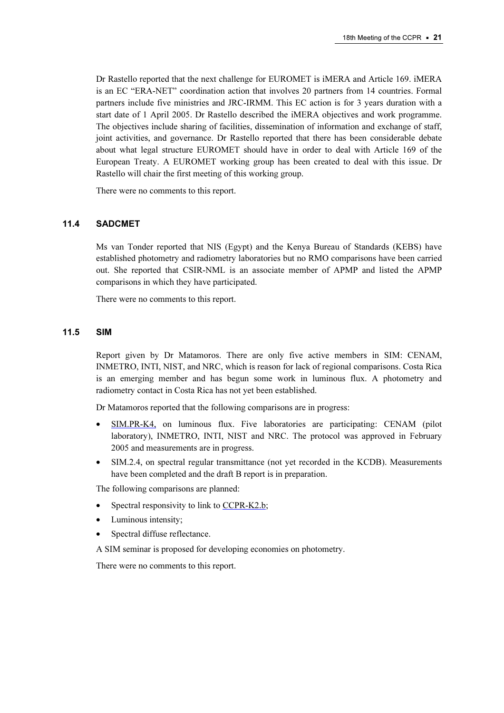Dr Rastello reported that the next challenge for EUROMET is iMERA and Article 169. iMERA is an EC "ERA-NET" coordination action that involves 20 partners from 14 countries. Formal partners include five ministries and JRC-IRMM. This EC action is for 3 years duration with a start date of 1 April 2005. Dr Rastello described the iMERA objectives and work programme. The objectives include sharing of facilities, dissemination of information and exchange of staff, joint activities, and governance. Dr Rastello reported that there has been considerable debate about what legal structure EUROMET should have in order to deal with Article 169 of the European Treaty. A EUROMET working group has been created to deal with this issue. Dr Rastello will chair the first meeting of this working group.

There were no comments to this report.

#### 11.4 SADCMET

Ms van Tonder reported that NIS (Egypt) and the Kenya Bureau of Standards (KEBS) have established photometry and radiometry laboratories but no RMO comparisons have been carried out. She reported that CSIR-NML is an associate member of APMP and listed the APMP comparisons in which they have participated.

There were no comments to this report.

#### 11.5 SIM

Report given by Dr Matamoros. There are only five active members in SIM: CENAM, INMETRO, INTI, NIST, and NRC, which is reason for lack of regional comparisons. Costa Rica is an emerging member and has begun some work in luminous flux. A photometry and radiometry contact in Costa Rica has not yet been established.

Dr Matamoros reported that the following comparisons are in progress:

- [SIM.PR-K4, on lumin](http://kcdb.bipm.org/AppendixB/KCDB_ApB_info.asp?cmp_idy=662&cmp_cod=SIM%2EPR%2DK4&page=1&search=2&cmp_cod_search=SIM%2EPR%2DK4&met_idy=&bra_idy=&epo_idy=&cmt_idy=&ett_idy_org=&lab_idy=)ous flux. Five laboratories are participating: CENAM (pilot laboratory), INMETRO, INTI, NIST and NRC. The protocol was approved in February 2005 and measurements are in progress.
- SIM.2.4, on spectral regular transmittance (not yet recorded in the KCDB). Measurements have been completed and the draft B report is in preparation.

The following comparisons are planned:

- Spectral responsivity to link to CCPR-K2.b;
- Luminous intensity;
- Spectral diffuse reflectance.

A SIM seminar is proposed for developing economies on photometry.

There were no comments to this report.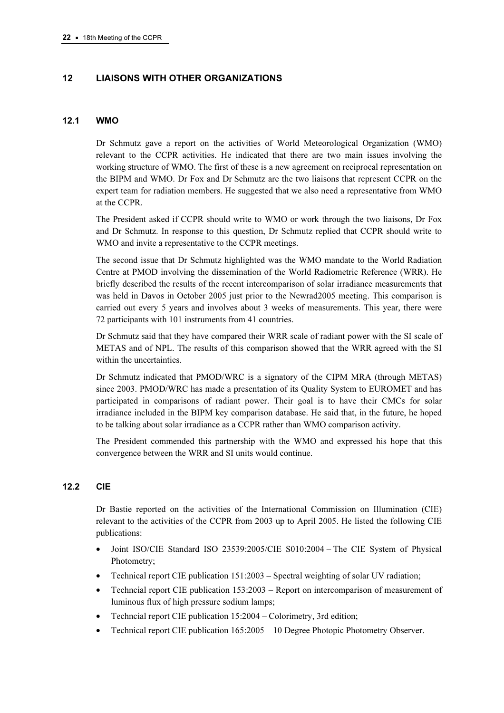# 12 LIAISONS WITH OTHER ORGANIZATIONS

## 12.1 WMO

Dr Schmutz gave a report on the activities of World Meteorological Organization (WMO) relevant to the CCPR activities. He indicated that there are two main issues involving the working structure of WMO. The first of these is a new agreement on reciprocal representation on the BIPM and WMO. Dr Fox and Dr Schmutz are the two liaisons that represent CCPR on the expert team for radiation members. He suggested that we also need a representative from WMO at the CCPR.

The President asked if CCPR should write to WMO or work through the two liaisons, Dr Fox and Dr Schmutz. In response to this question, Dr Schmutz replied that CCPR should write to WMO and invite a representative to the CCPR meetings.

The second issue that Dr Schmutz highlighted was the WMO mandate to the World Radiation Centre at PMOD involving the dissemination of the World Radiometric Reference (WRR). He briefly described the results of the recent intercomparison of solar irradiance measurements that was held in Davos in October 2005 just prior to the Newrad2005 meeting. This comparison is carried out every 5 years and involves about 3 weeks of measurements. This year, there were 72 participants with 101 instruments from 41 countries.

Dr Schmutz said that they have compared their WRR scale of radiant power with the SI scale of METAS and of NPL. The results of this comparison showed that the WRR agreed with the SI within the uncertainties.

Dr Schmutz indicated that PMOD/WRC is a signatory of the CIPM MRA (through METAS) since 2003. PMOD/WRC has made a presentation of its Quality System to EUROMET and has participated in comparisons of radiant power. Their goal is to have their CMCs for solar irradiance included in the BIPM key comparison database. He said that, in the future, he hoped to be talking about solar irradiance as a CCPR rather than WMO comparison activity.

The President commended this partnership with the WMO and expressed his hope that this convergence between the WRR and SI units would continue.

# 12.2 CIE

Dr Bastie reported on the activities of the International Commission on Illumination (CIE) relevant to the activities of the CCPR from 2003 up to April 2005. He listed the following CIE publications:

- Joint ISO/CIE Standard ISO 23539:2005/CIE S010:2004 The CIE System of Physical Photometry;
- Technical report CIE publication 151:2003 Spectral weighting of solar UV radiation;
- Techncial report CIE publication 153:2003 Report on intercomparison of measurement of luminous flux of high pressure sodium lamps;
- Techncial report CIE publication 15:2004 Colorimetry, 3rd edition;
- Technical report CIE publication 165:2005 10 Degree Photopic Photometry Observer.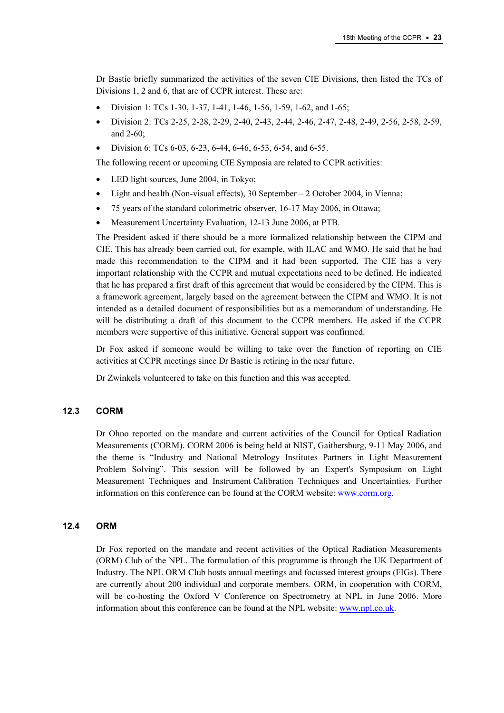Dr Bastie briefly summarized the activities of the seven CIE Divisions, then listed the TCs of Divisions 1, 2 and 6, that are of CCPR interest. These are:

- Division 1: TCs 1-30, 1-37, 1-41, 1-46, 1-56, 1-59, 1-62, and 1-65;
- Division 2: TCs 2-25, 2-28, 2-29, 2-40, 2-43, 2-44, 2-46, 2-47, 2-48, 2-49, 2-56, 2-58, 2-59, and 2-60;
- Division 6: TCs 6-03, 6-23, 6-44, 6-46, 6-53, 6-54, and 6-55.

The following recent or upcoming CIE Symposia are related to CCPR activities:

- LED light sources, June 2004, in Tokyo;
- Light and health (Non-visual effects), 30 September 2 October 2004, in Vienna;
- 75 years of the standard colorimetric observer, 16-17 May 2006, in Ottawa;
- Measurement Uncertainty Evaluation, 12-13 June 2006, at PTB.

The President asked if there should be a more formalized relationship between the CIPM and CIE. This has already been carried out, for example, with ILAC and WMO. He said that he had made this recommendation to the CIPM and it had been supported. The CIE has a very important relationship with the CCPR and mutual expectations need to be defined. He indicated that he has prepared a first draft of this agreement that would be considered by the CIPM. This is a framework agreement, largely based on the agreement between the CIPM and WMO. It is not intended as a detailed document of responsibilities but as a memorandum of understanding. He will be distributing a draft of this document to the CCPR members. He asked if the CCPR members were supportive of this initiative. General support was confirmed.

Dr Fox asked if someone would be willing to take over the function of reporting on CIE activities at CCPR meetings since Dr Bastie is retiring in the near future.

Dr Zwinkels volunteered to take on this function and this was accepted.

## 12.3 CORM

Dr Ohno reported on the mandate and current activities of the Council for Optical Radiation Measurements (CORM). CORM 2006 is being held at NIST, Gaithersburg, 9-11 May 2006, and the theme is "Industry and National Metrology Institutes Partners in Light Measurement Problem Solving". This session will be followed by an Expert's Symposium on Light Measurement Techniques and Instrument Calibration Techniques and Uncertainties. Further information on this conference can be found at the CORM webs[ite: www.corm.org.](www.corm.org) 

#### 12.4 ORM

Dr Fox reported on the mandate and recent activities of the Optical Radiation Measurements (ORM) Club of the NPL. The formulation of this programme is through the UK Department of Industry. The NPL ORM Club hosts annual meetings and focussed interest groups (FIGs). There are currently about 200 individual and corporate members. ORM, in cooperation with CORM, will be co-hosting the Oxford V Conference on Spectrometry at NPL in June 2006. More information about this conference can be found at the NPL web[site: www.npl.co.uk.](www.npl.co.uk)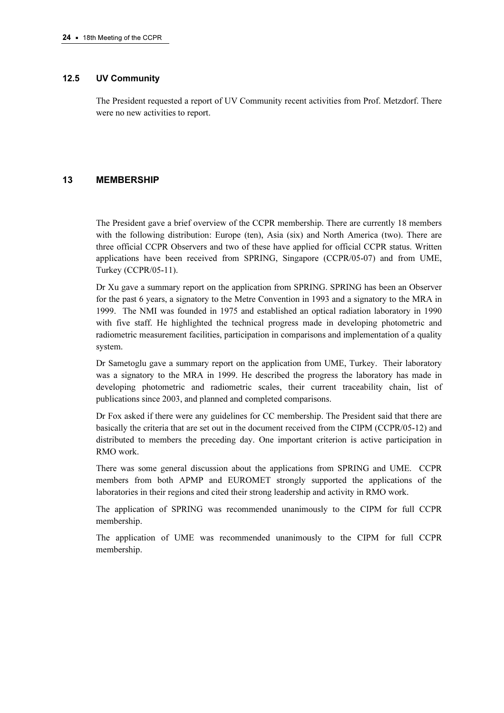## 12.5 UV Community

The President requested a report of UV Community recent activities from Prof. Metzdorf. There were no new activities to report.

## 13 MEMBERSHIP

The President gave a brief overview of the CCPR membership. There are currently 18 members with the following distribution: Europe (ten), Asia (six) and North America (two). There are three official CCPR Observers and two of these have applied for official CCPR status. Written applications have been received from SPRING, Singapore (CCPR/05-07) and from UME, Turkey (CCPR/05-11).

Dr Xu gave a summary report on the application from SPRING. SPRING has been an Observer for the past 6 years, a signatory to the Metre Convention in 1993 and a signatory to the MRA in 1999. The NMI was founded in 1975 and established an optical radiation laboratory in 1990 with five staff. He highlighted the technical progress made in developing photometric and radiometric measurement facilities, participation in comparisons and implementation of a quality system.

Dr Sametoglu gave a summary report on the application from UME, Turkey. Their laboratory was a signatory to the MRA in 1999. He described the progress the laboratory has made in developing photometric and radiometric scales, their current traceability chain, list of publications since 2003, and planned and completed comparisons.

Dr Fox asked if there were any guidelines for CC membership. The President said that there are basically the criteria that are set out in the document received from the CIPM (CCPR/05-12) and distributed to members the preceding day. One important criterion is active participation in RMO work.

There was some general discussion about the applications from SPRING and UME. CCPR members from both APMP and EUROMET strongly supported the applications of the laboratories in their regions and cited their strong leadership and activity in RMO work.

The application of SPRING was recommended unanimously to the CIPM for full CCPR membership.

The application of UME was recommended unanimously to the CIPM for full CCPR membership.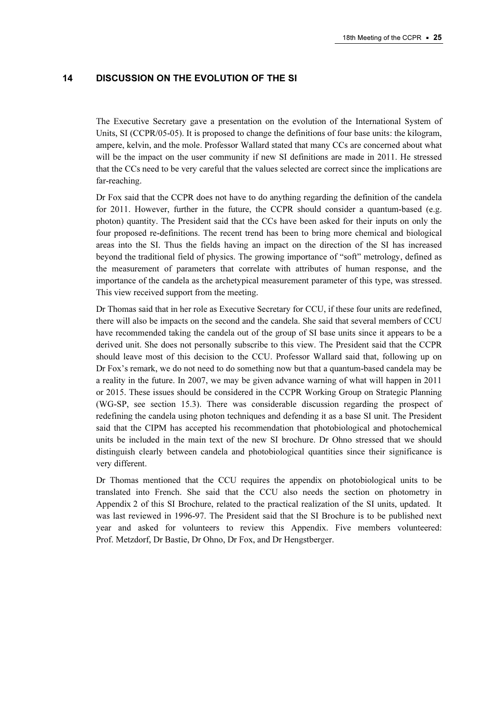## 14 DISCUSSION ON THE EVOLUTION OF THE SI

The Executive Secretary gave a presentation on the evolution of the International System of Units, SI (CCPR/05-05). It is proposed to change the definitions of four base units: the kilogram, ampere, kelvin, and the mole. Professor Wallard stated that many CCs are concerned about what will be the impact on the user community if new SI definitions are made in 2011. He stressed that the CCs need to be very careful that the values selected are correct since the implications are far-reaching.

Dr Fox said that the CCPR does not have to do anything regarding the definition of the candela for 2011. However, further in the future, the CCPR should consider a quantum-based (e.g. photon) quantity. The President said that the CCs have been asked for their inputs on only the four proposed re-definitions. The recent trend has been to bring more chemical and biological areas into the SI. Thus the fields having an impact on the direction of the SI has increased beyond the traditional field of physics. The growing importance of "soft" metrology, defined as the measurement of parameters that correlate with attributes of human response, and the importance of the candela as the archetypical measurement parameter of this type, was stressed. This view received support from the meeting.

Dr Thomas said that in her role as Executive Secretary for CCU, if these four units are redefined, there will also be impacts on the second and the candela. She said that several members of CCU have recommended taking the candela out of the group of SI base units since it appears to be a derived unit. She does not personally subscribe to this view. The President said that the CCPR should leave most of this decision to the CCU. Professor Wallard said that, following up on Dr Fox's remark, we do not need to do something now but that a quantum-based candela may be a reality in the future. In 2007, we may be given advance warning of what will happen in 2011 or 2015. These issues should be considered in the CCPR Working Group on Strategic Planning (WG-SP, see section 15.3). There was considerable discussion regarding the prospect of redefining the candela using photon techniques and defending it as a base SI unit. The President said that the CIPM has accepted his recommendation that photobiological and photochemical units be included in the main text of the new SI brochure. Dr Ohno stressed that we should distinguish clearly between candela and photobiological quantities since their significance is very different.

Dr Thomas mentioned that the CCU requires the appendix on photobiological units to be translated into French. She said that the CCU also needs the section on photometry in Appendix 2 of this SI Brochure, related to the practical realization of the SI units, updated. It was last reviewed in 1996-97. The President said that the SI Brochure is to be published next year and asked for volunteers to review this Appendix. Five members volunteered: Prof. Metzdorf, Dr Bastie, Dr Ohno, Dr Fox, and Dr Hengstberger.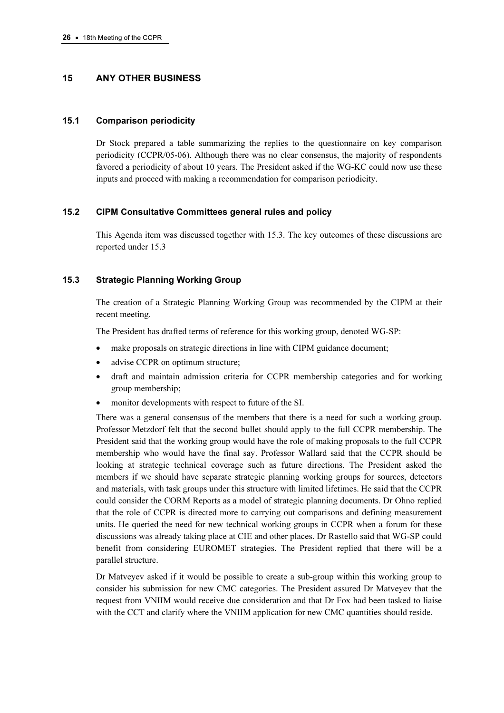# 15 ANY OTHER BUSINESS

## 15.1 Comparison periodicity

Dr Stock prepared a table summarizing the replies to the questionnaire on key comparison periodicity (CCPR/05-06). Although there was no clear consensus, the majority of respondents favored a periodicity of about 10 years. The President asked if the WG-KC could now use these inputs and proceed with making a recommendation for comparison periodicity.

# 15.2 CIPM Consultative Committees general rules and policy

This Agenda item was discussed together with 15.3. The key outcomes of these discussions are reported under 15.3

# 15.3 Strategic Planning Working Group

The creation of a Strategic Planning Working Group was recommended by the CIPM at their recent meeting.

The President has drafted terms of reference for this working group, denoted WG-SP:

- make proposals on strategic directions in line with CIPM guidance document;
- advise CCPR on optimum structure;
- draft and maintain admission criteria for CCPR membership categories and for working group membership;
- monitor developments with respect to future of the SI.

There was a general consensus of the members that there is a need for such a working group. Professor Metzdorf felt that the second bullet should apply to the full CCPR membership. The President said that the working group would have the role of making proposals to the full CCPR membership who would have the final say. Professor Wallard said that the CCPR should be looking at strategic technical coverage such as future directions. The President asked the members if we should have separate strategic planning working groups for sources, detectors and materials, with task groups under this structure with limited lifetimes. He said that the CCPR could consider the CORM Reports as a model of strategic planning documents. Dr Ohno replied that the role of CCPR is directed more to carrying out comparisons and defining measurement units. He queried the need for new technical working groups in CCPR when a forum for these discussions was already taking place at CIE and other places. Dr Rastello said that WG-SP could benefit from considering EUROMET strategies. The President replied that there will be a parallel structure.

Dr Matveyev asked if it would be possible to create a sub-group within this working group to consider his submission for new CMC categories. The President assured Dr Matveyev that the request from VNIIM would receive due consideration and that Dr Fox had been tasked to liaise with the CCT and clarify where the VNIIM application for new CMC quantities should reside.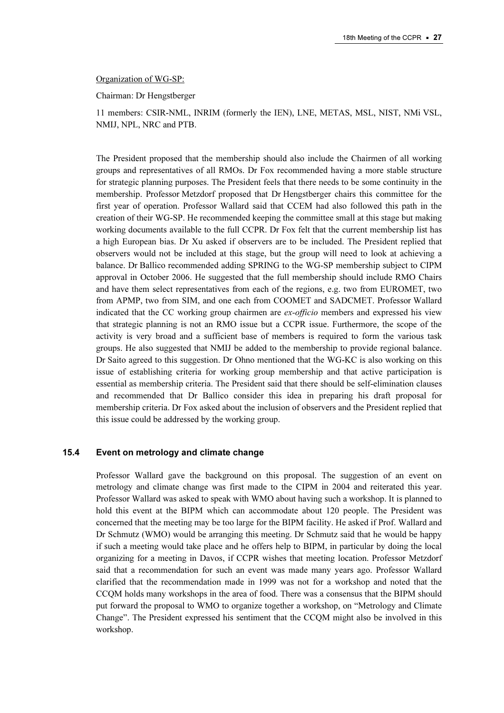#### Organization of WG-SP:

Chairman: Dr Hengstberger

11 members: CSIR-NML, INRIM (formerly the IEN), LNE, METAS, MSL, NIST, NMi VSL, NMIJ, NPL, NRC and PTB.

The President proposed that the membership should also include the Chairmen of all working groups and representatives of all RMOs. Dr Fox recommended having a more stable structure for strategic planning purposes. The President feels that there needs to be some continuity in the membership. Professor Metzdorf proposed that Dr Hengstberger chairs this committee for the first year of operation. Professor Wallard said that CCEM had also followed this path in the creation of their WG-SP. He recommended keeping the committee small at this stage but making working documents available to the full CCPR. Dr Fox felt that the current membership list has a high European bias. Dr Xu asked if observers are to be included. The President replied that observers would not be included at this stage, but the group will need to look at achieving a balance. Dr Ballico recommended adding SPRING to the WG-SP membership subject to CIPM approval in October 2006. He suggested that the full membership should include RMO Chairs and have them select representatives from each of the regions, e.g. two from EUROMET, two from APMP, two from SIM, and one each from COOMET and SADCMET. Professor Wallard indicated that the CC working group chairmen are ex-officio members and expressed his view that strategic planning is not an RMO issue but a CCPR issue. Furthermore, the scope of the activity is very broad and a sufficient base of members is required to form the various task groups. He also suggested that NMIJ be added to the membership to provide regional balance. Dr Saito agreed to this suggestion. Dr Ohno mentioned that the WG-KC is also working on this issue of establishing criteria for working group membership and that active participation is essential as membership criteria. The President said that there should be self-elimination clauses and recommended that Dr Ballico consider this idea in preparing his draft proposal for membership criteria. Dr Fox asked about the inclusion of observers and the President replied that this issue could be addressed by the working group.

#### 15.4 Event on metrology and climate change

Professor Wallard gave the background on this proposal. The suggestion of an event on metrology and climate change was first made to the CIPM in 2004 and reiterated this year. Professor Wallard was asked to speak with WMO about having such a workshop. It is planned to hold this event at the BIPM which can accommodate about 120 people. The President was concerned that the meeting may be too large for the BIPM facility. He asked if Prof. Wallard and Dr Schmutz (WMO) would be arranging this meeting. Dr Schmutz said that he would be happy if such a meeting would take place and he offers help to BIPM, in particular by doing the local organizing for a meeting in Davos, if CCPR wishes that meeting location. Professor Metzdorf said that a recommendation for such an event was made many years ago. Professor Wallard clarified that the recommendation made in 1999 was not for a workshop and noted that the CCQM holds many workshops in the area of food. There was a consensus that the BIPM should put forward the proposal to WMO to organize together a workshop, on "Metrology and Climate Change". The President expressed his sentiment that the CCQM might also be involved in this workshop.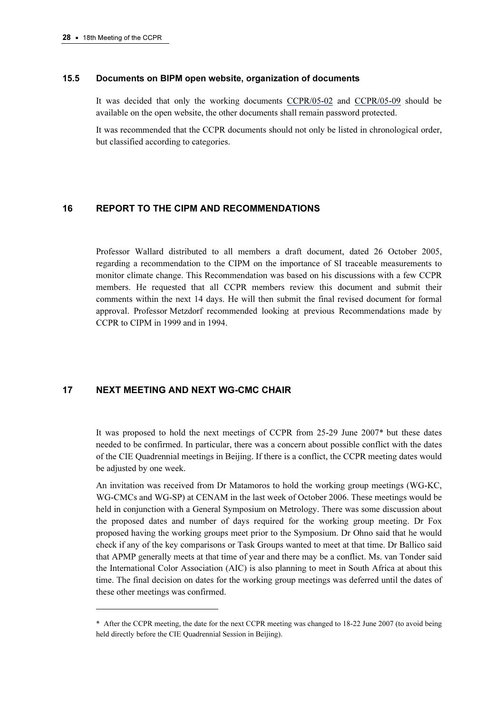#### 15.5 Documents on BIPM open website, organization of documents

It was decided that only the working docu[ments CCPR/05-02 an](https://www.bipm.org/cc/CCPR/Allowed/18/CCPR05-02.pdf)d [CCPR/05-09 shou](https://www.bipm.org/cc/CCPR/Allowed/18/CCPR05-09.pdf)ld be available on the open website, the other documents shall remain password protected.

It was recommended that the CCPR documents should not only be listed in chronological order, but classified according to categories.

## 16 REPORT TO THE CIPM AND RECOMMENDATIONS

Professor Wallard distributed to all members a draft document, dated 26 October 2005, regarding a recommendation to the CIPM on the importance of SI traceable measurements to monitor climate change. This Recommendation was based on his discussions with a few CCPR members. He requested that all CCPR members review this document and submit their comments within the next 14 days. He will then submit the final revised document for formal approval. Professor Metzdorf recommended looking at previous Recommendations made by CCPR to CIPM in 1999 and in 1994.

## 17 NEXT MEETING AND NEXT WG-CMC CHAIR

 $\ddot{ }$ 

It was proposed to hold the next meetings of CCPR from 25-29 June 2007\* but these dates needed to be confirmed. In particular, there was a concern about possible conflict with the dates of the CIE Quadrennial meetings in Beijing. If there is a conflict, the CCPR meeting dates would be adjusted by one week.

An invitation was received from Dr Matamoros to hold the working group meetings (WG-KC, WG-CMCs and WG-SP) at CENAM in the last week of October 2006. These meetings would be held in conjunction with a General Symposium on Metrology. There was some discussion about the proposed dates and number of days required for the working group meeting. Dr Fox proposed having the working groups meet prior to the Symposium. Dr Ohno said that he would check if any of the key comparisons or Task Groups wanted to meet at that time. Dr Ballico said that APMP generally meets at that time of year and there may be a conflict. Ms. van Tonder said the International Color Association (AIC) is also planning to meet in South Africa at about this time. The final decision on dates for the working group meetings was deferred until the dates of these other meetings was confirmed.

<sup>\*</sup> After the CCPR meeting, the date for the next CCPR meeting was changed to 18-22 June 2007 (to avoid being held directly before the CIE Quadrennial Session in Beijing).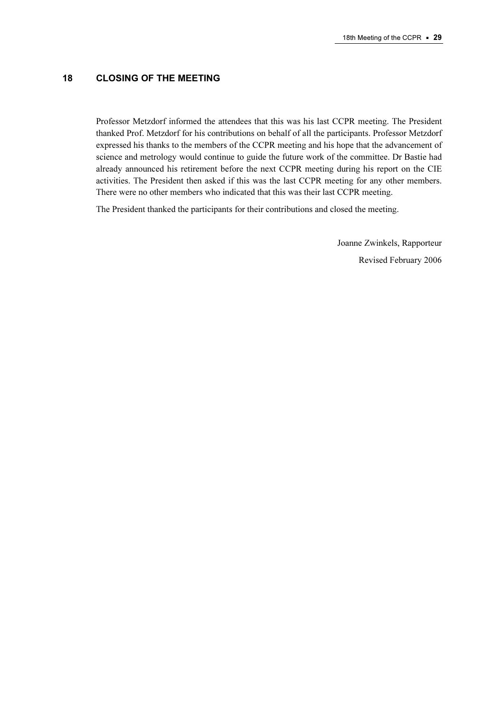# 18 CLOSING OF THE MEETING

Professor Metzdorf informed the attendees that this was his last CCPR meeting. The President thanked Prof. Metzdorf for his contributions on behalf of all the participants. Professor Metzdorf expressed his thanks to the members of the CCPR meeting and his hope that the advancement of science and metrology would continue to guide the future work of the committee. Dr Bastie had already announced his retirement before the next CCPR meeting during his report on the CIE activities. The President then asked if this was the last CCPR meeting for any other members. There were no other members who indicated that this was their last CCPR meeting.

The President thanked the participants for their contributions and closed the meeting.

 Joanne Zwinkels, Rapporteur Revised February 2006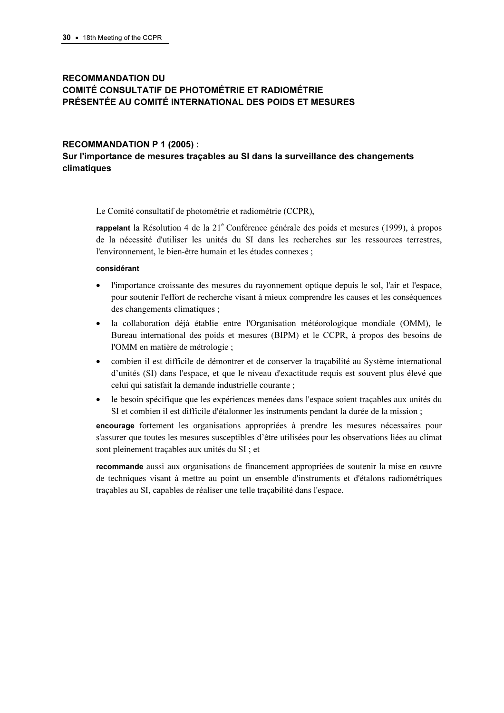# RECOMMANDATION DU COMITÉ CONSULTATIF DE PHOTOMÉTRIE ET RADIOMÉTRIE PRÉSENTÉE AU COMITÉ INTERNATIONAL DES POIDS ET MESURES

#### RECOMMANDATION P 1 (2005) :

# Sur l'importance de mesures traçables au SI dans la surveillance des changements climatiques

Le Comité consultatif de photométrie et radiométrie (CCPR),

rappelant la Résolution 4 de la 21<sup>e</sup> Conférence générale des poids et mesures (1999), à propos de la nécessité d'utiliser les unités du SI dans les recherches sur les ressources terrestres, l'environnement, le bien-être humain et les études connexes ;

#### considérant

- l'importance croissante des mesures du rayonnement optique depuis le sol, l'air et l'espace, pour soutenir l'effort de recherche visant à mieux comprendre les causes et les conséquences des changements climatiques ;
- la collaboration déjà établie entre l'Organisation météorologique mondiale (OMM), le Bureau international des poids et mesures (BIPM) et le CCPR, à propos des besoins de l'OMM en matière de métrologie ;
- combien il est difficile de démontrer et de conserver la traçabilité au Système international d'unités (SI) dans l'espace, et que le niveau d'exactitude requis est souvent plus élevé que celui qui satisfait la demande industrielle courante ;
- le besoin spécifique que les expériences menées dans l'espace soient traçables aux unités du SI et combien il est difficile d'étalonner les instruments pendant la durée de la mission ;

encourage fortement les organisations appropriées à prendre les mesures nécessaires pour s'assurer que toutes les mesures susceptibles d'être utilisées pour les observations liées au climat sont pleinement traçables aux unités du SI ; et

recommande aussi aux organisations de financement appropriées de soutenir la mise en œuvre de techniques visant à mettre au point un ensemble d'instruments et d'étalons radiométriques traçables au SI, capables de réaliser une telle traçabilité dans l'espace.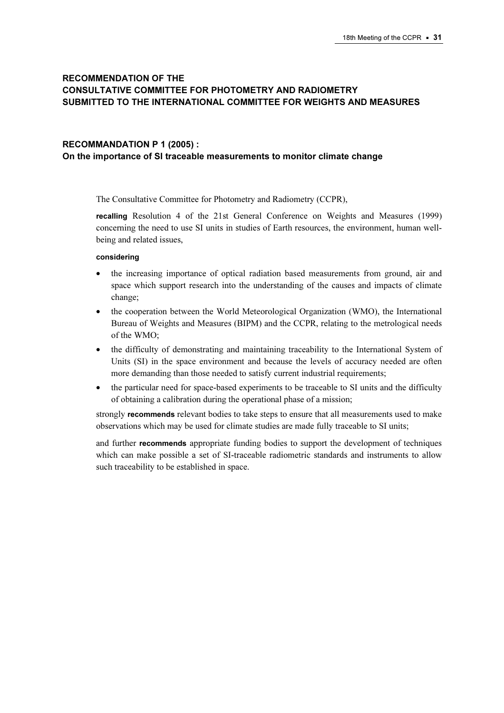# RECOMMENDATION OF THE CONSULTATIVE COMMITTEE FOR PHOTOMETRY AND RADIOMETRY SUBMITTED TO THE INTERNATIONAL COMMITTEE FOR WEIGHTS AND MEASURES

## RECOMMANDATION P 1 (2005) : On the importance of SI traceable measurements to monitor climate change

The Consultative Committee for Photometry and Radiometry (CCPR),

recalling Resolution 4 of the 21st General Conference on Weights and Measures (1999) concerning the need to use SI units in studies of Earth resources, the environment, human wellbeing and related issues,

#### considering

- the increasing importance of optical radiation based measurements from ground, air and space which support research into the understanding of the causes and impacts of climate change;
- the cooperation between the World Meteorological Organization (WMO), the International Bureau of Weights and Measures (BIPM) and the CCPR, relating to the metrological needs of the WMO;
- the difficulty of demonstrating and maintaining traceability to the International System of Units (SI) in the space environment and because the levels of accuracy needed are often more demanding than those needed to satisfy current industrial requirements;
- the particular need for space-based experiments to be traceable to SI units and the difficulty of obtaining a calibration during the operational phase of a mission;

strongly **recommends** relevant bodies to take steps to ensure that all measurements used to make observations which may be used for climate studies are made fully traceable to SI units;

and further recommends appropriate funding bodies to support the development of techniques which can make possible a set of SI-traceable radiometric standards and instruments to allow such traceability to be established in space.